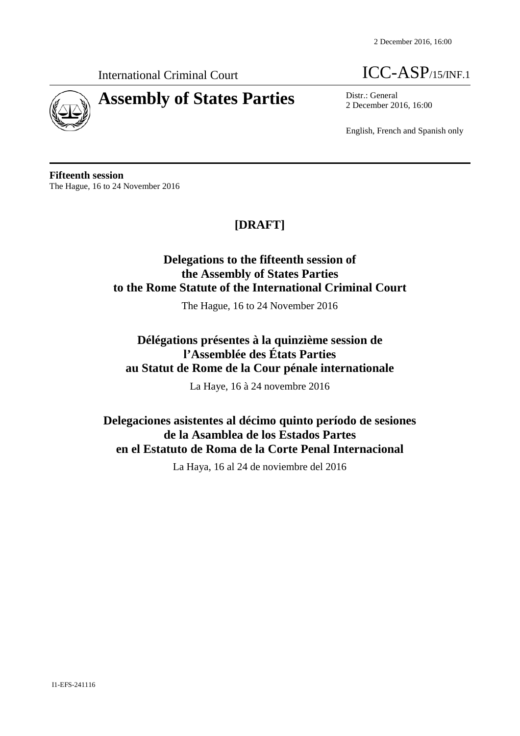

# **Assembly of States Parties** Districulation Districulum Polember 20

International Criminal Court **ICC-ASP**/15/INF.1

2 December 2016, 16:00

English, French and Spanish only

**Fifteenth session** The Hague, 16 to 24 November 2016

## **[DRAFT]**

## **Delegations to the fifteenth session of the Assembly of States Parties to the Rome Statute of the International Criminal Court**

The Hague, 16 to 24 November 2016

## **Délégations présentes à la quinzième session de l'Assemblée des États Parties au Statut de Rome de la Cour pénale internationale**

La Haye, 16 à 24 novembre 2016

## **Delegaciones asistentes al décimo quinto período de sesiones de la Asamblea de los Estados Partes en el Estatuto de Roma de la Corte Penal Internacional**

La Haya, 16 al 24 de noviembre del 2016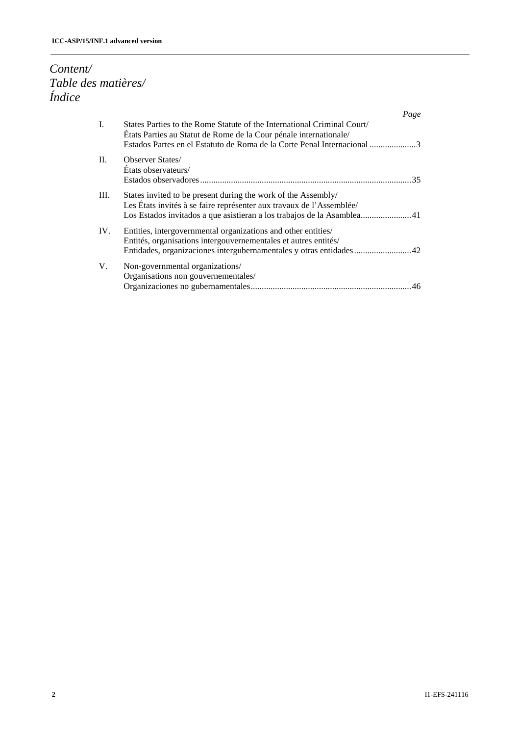## *Content/ Table des matières/ Índice*

|      | Page                                                                                                                                                                                                                   |  |
|------|------------------------------------------------------------------------------------------------------------------------------------------------------------------------------------------------------------------------|--|
| L.   | States Parties to the Rome Statute of the International Criminal Court<br>États Parties au Statut de Rome de la Cour pénale internationale/<br>Estados Partes en el Estatuto de Roma de la Corte Penal Internacional 3 |  |
| II.  | <b>Observer States/</b><br>États observateurs/                                                                                                                                                                         |  |
| III. | States invited to be present during the work of the Assembly/<br>Les États invités à se faire représenter aux travaux de l'Assemblée/                                                                                  |  |
| IV.  | Entities, intergovernmental organizations and other entities/<br>Entités, organisations intergouvernementales et autres entités/                                                                                       |  |
| V.   | Non-governmental organizations/<br>Organisations non gouvernementales/                                                                                                                                                 |  |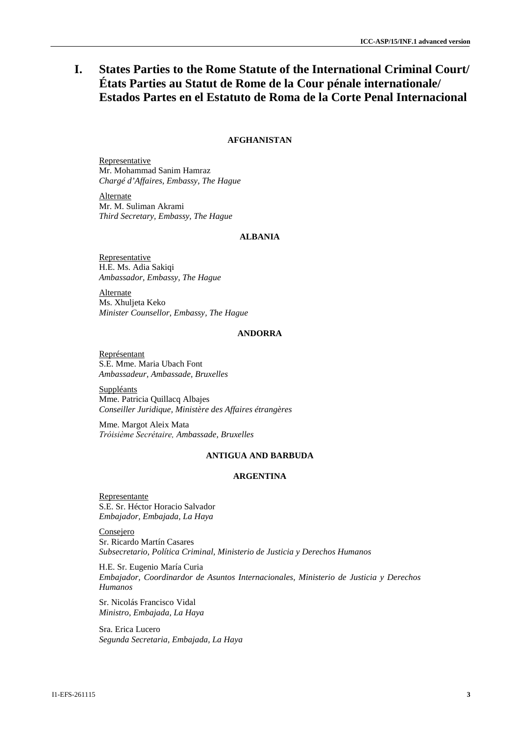## **I. States Parties to the Rome Statute of the International Criminal Court/ États Parties au Statut de Rome de la Cour pénale internationale/ Estados Partes en el Estatuto de Roma de la Corte Penal Internacional**

## **AFGHANISTAN**

Representative Mr. Mohammad Sanim Hamraz *Chargé d'Affaires, Embassy, The Hague*

**Alternate** Mr. M. Suliman Akrami *Third Secretary, Embassy, The Hague*

## **ALBANIA**

Representative H.E. Ms. Adia Sakiqi *Ambassador, Embassy, The Hague*

**Alternate** Ms. Xhuljeta Keko *Minister Counsellor, Embassy, The Hague*

#### **ANDORRA**

Représentant S.E. Mme. Maria Ubach Font *Ambassadeur, Ambassade, Bruxelles*

Suppléants Mme. Patricia Quillacq Albajes *Conseiller Juridique, Ministère des Affaires étrangères*

Mme. Margot Aleix Mata *Tróisiѐme Secrétaire, Ambassade, Bruxelles*

## **ANTIGUA AND BARBUDA**

### **ARGENTINA**

Representante S.E. Sr. Héctor Horacio Salvador *Embajador, Embajada, La Haya*

Consejero Sr. Ricardo Martín Casares *Subsecretario, Política Criminal, Ministerio de Justicia y Derechos Humanos*

H.E. Sr. Eugenio María Curia *Embajador, Coordinardor de Asuntos Internacionales, Ministerio de Justicia y Derechos Humanos*

Sr. Nicolás Francisco Vidal *Ministro, Embajada, La Haya* 

Sra. Erica Lucero *Segunda Secretaria, Embajada, La Haya*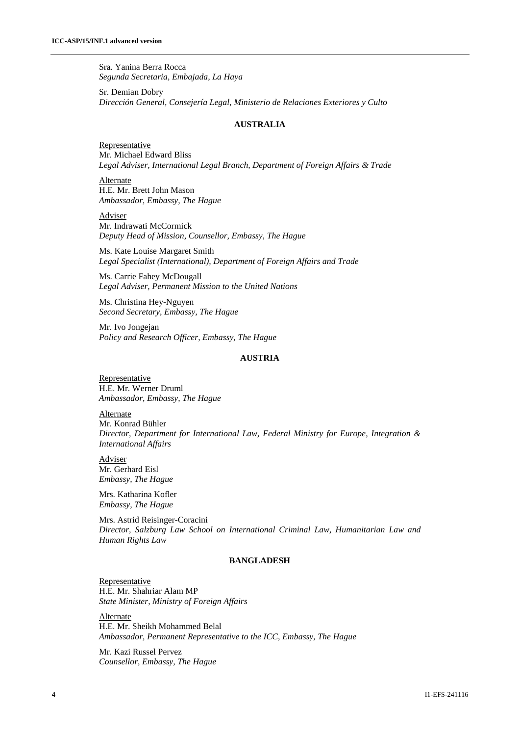Sra. Yanina Berra Rocca *Segunda Secretaria, Embajada, La Haya* 

Sr. Demian Dobry *Dirección General, Consejería Legal, Ministerio de Relaciones Exteriores y Culto*

#### **AUSTRALIA**

Representative Mr. Michael Edward Bliss *Legal Adviser, International Legal Branch, Department of Foreign Affairs & Trade*

Alternate H.E. Mr. Brett John Mason *Ambassador, Embassy, The Hague*

Adviser Mr. Indrawati McCormick *Deputy Head of Mission, Counsellor, Embassy, The Hague*

Ms. Kate Louise Margaret Smith *Legal Specialist (International), Department of Foreign Affairs and Trade*

Ms. Carrie Fahey McDougall *Legal Adviser, Permanent Mission to the United Nations*

Ms. Christina Hey-Nguyen *Second Secretary, Embassy, The Hague*

Mr. Ivo Jongejan *Policy and Research Officer, Embassy, The Hague*

## **AUSTRIA**

Representative H.E. Mr. Werner Druml *Ambassador, Embassy, The Hague*

**Alternate** Mr. Konrad Bühler *Director, Department for International Law, Federal Ministry for Europe, Integration & International Affairs*

Adviser Mr. Gerhard Eisl *Embassy, The Hague*

Mrs. Katharina Kofler *Embassy, The Hague*

Mrs. Astrid Reisinger-Coracini *Director, Salzburg Law School on International Criminal Law, Humanitarian Law and Human Rights Law*

## **BANGLADESH**

Representative H.E. Mr. Shahriar Alam MP *State Minister, Ministry of Foreign Affairs*

Alternate H.E. Mr. Sheikh Mohammed Belal *Ambassador, Permanent Representative to the ICC, Embassy, The Hague*

Mr. Kazi Russel Pervez *Counsellor, Embassy, The Hague*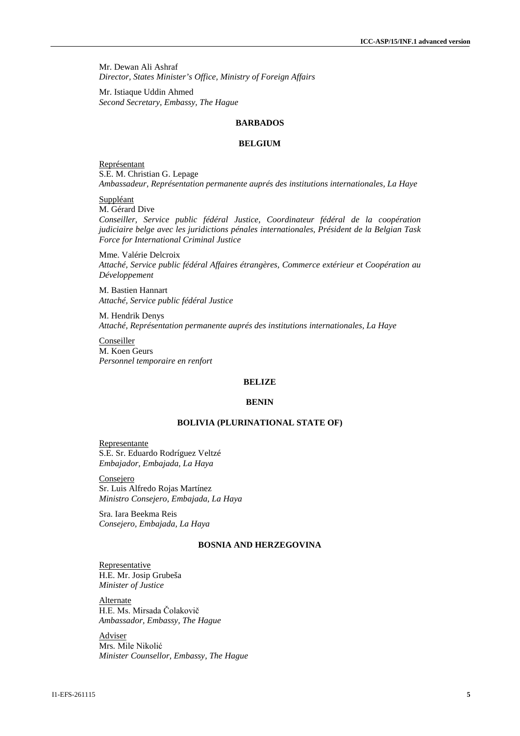Mr. Dewan Ali Ashraf *Director, States Minister's Office, Ministry of Foreign Affairs*

Mr. Istiaque Uddin Ahmed *Second Secretary, Embassy, The Hague*

#### **BARBADOS**

#### **BELGIUM**

Représentant S.E. M. Christian G. Lepage *Ambassadeur, Représentation permanente auprés des institutions internationales, La Haye*

Suppléant

M. Gérard Dive

*Conseiller, Service public fédéral Justice, Coordinateur fédéral de la coopération judiciaire belge avec les juridictions pénales internationales, Président de la Belgian Task Force for International Criminal Justice*

Mme. Valérie Delcroix *Attaché, Service public fédéral Affaires étrangères, Commerce extérieur et Coopération au Développement*

M. Bastien Hannart *Attaché, Service public fédéral Justice*

M. Hendrik Denys *Attaché, Représentation permanente auprés des institutions internationales, La Haye*

Conseiller M. Koen Geurs *Personnel temporaire en renfort*

#### **BELIZE**

#### **BENIN**

#### **BOLIVIA (PLURINATIONAL STATE OF)**

Representante S.E. Sr. Eduardo Rodríguez Veltzé *Embajador, Embajada, La Haya*

Consejero Sr. Luis Alfredo Rojas Martínez *Ministro Consejero, Embajada, La Haya*

Sra. Iara Beekma Reis *Consejero, Embajada, La Haya*

## **BOSNIA AND HERZEGOVINA**

**Representative** H.E. Mr. Josip Grubeša *Minister of Justice*

Alternate H.E. Ms. Mirsada Čolakovič *Ambassador, Embassy, The Hague*

Adviser Mrs. Mile Nikolić *Minister Counsellor, Embassy, The Hague*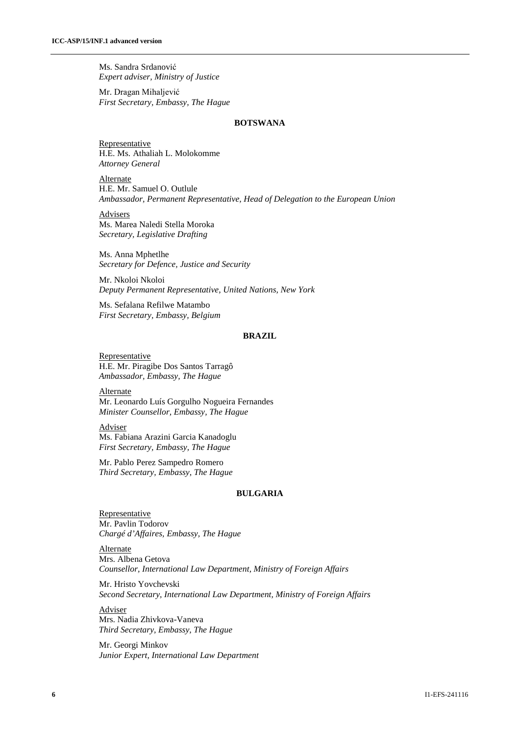Ms. Sandra Srdanović *Expert adviser, Ministry of Justice*

Mr. Dragan Mihaljević *First Secretary, Embassy, The Hague*

## **BOTSWANA**

**Representative** H.E. Ms. Athaliah L. Molokomme *Attorney General*

Alternate H.E. Mr. Samuel O. Outlule *Ambassador, Permanent Representative, Head of Delegation to the European Union* 

**Advisers** Ms. Marea Naledi Stella Moroka *Secretary, Legislative Drafting*

Ms. Anna Mphetlhe *Secretary for Defence, Justice and Security*

Mr. Nkoloi Nkoloi *Deputy Permanent Representative, United Nations, New York*

Ms. Sefalana Refilwe Matambo *First Secretary, Embassy, Belgium*

#### **BRAZIL**

**Representative** H.E. Mr. Piragibe Dos Santos Tarragô *Ambassador, Embassy, The Hague* 

Alternate Mr. Leonardo Luís Gorgulho Nogueira Fernandes *Minister Counsellor, Embassy, The Hague*

Adviser Ms. Fabiana Arazini Garcia Kanadoglu *First Secretary, Embassy, The Hague*

Mr. Pablo Perez Sampedro Romero *Third Secretary, Embassy, The Hague*

## **BULGARIA**

Representative Mr. Pavlin Todorov *Chargé d'Affaires, Embassy, The Hague*

**Alternate** Mrs. Albena Getova *Counsellor, International Law Department, Ministry of Foreign Affairs*

Mr. Hristo Yovchevski *Second Secretary, International Law Department, Ministry of Foreign Affairs*

Adviser Mrs. Nadia Zhivkova-Vaneva *Third Secretary, Embassy, The Hague*

Mr. Georgi Minkov *Junior Expert, International Law Department*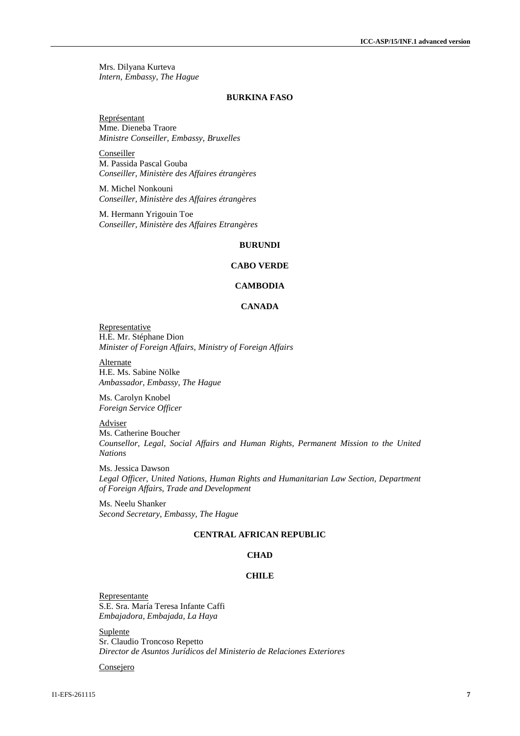Mrs. Dilyana Kurteva *Intern, Embassy, The Hague*

#### **BURKINA FASO**

Représentant Mme. Dieneba Traore *Ministre Conseiller, Embassy, Bruxelles*

Conseiller M. Passida Pascal Gouba *Conseiller, Ministère des Affaires étrangères* 

M. Michel Nonkouni *Conseiller, Ministère des Affaires étrangères* 

M. Hermann Yrigouin Toe *Conseiller, Ministère des Affaires Etrangères* 

#### **BURUNDI**

## **CABO VERDE**

## **CAMBODIA**

#### **CANADA**

**Representative** H.E. Mr. Stéphane Dion *Minister of Foreign Affairs, Ministry of Foreign Affairs*

**Alternate** H.E. Ms. Sabine Nölke *Ambassador, Embassy, The Hague*

Ms. Carolyn Knobel *Foreign Service Officer* 

**Adviser** Ms. Catherine Boucher *Counsellor, Legal, Social Affairs and Human Rights, Permanent Mission to the United Nations* 

Ms. Jessica Dawson *Legal Officer, United Nations, Human Rights and Humanitarian Law Section, Department of Foreign Affairs, Trade and Development*

Ms. Neelu Shanker *Second Secretary, Embassy, The Hague*

## **CENTRAL AFRICAN REPUBLIC**

## **CHAD**

#### **CHILE**

Representante S.E. Sra. María Teresa Infante Caffi *Embajadora, Embajada, La Haya*

Suplente Sr. Claudio Troncoso Repetto *Director de Asuntos Jurídicos del Ministerio de Relaciones Exteriores*

**Consejero**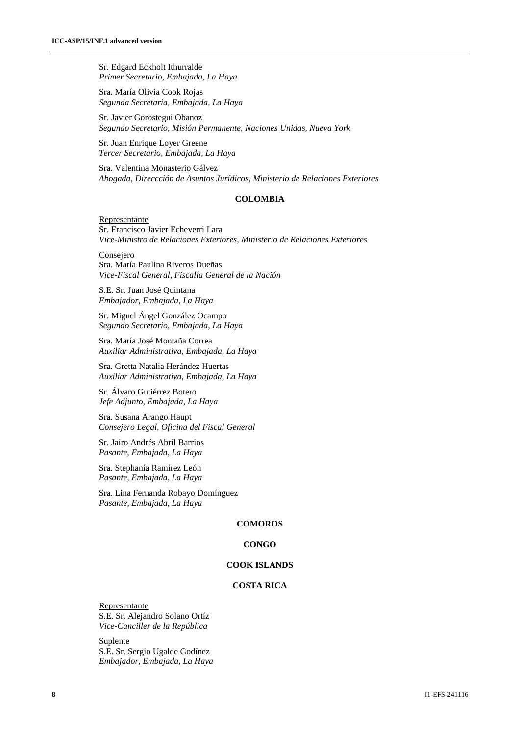Sr. Edgard Eckholt Ithurralde *Primer Secretario, Embajada, La Haya*

Sra. María Olivia Cook Rojas *Segunda Secretaria, Embajada, La Haya*

Sr. Javier Gorostegui Obanoz *Segundo Secretario, Misión Permanente, Naciones Unidas, Nueva York*

Sr. Juan Enrique Loyer Greene *Tercer Secretario, Embajada, La Haya*

Sra. Valentina Monasterio Gálvez *Abogada, Direccción de Asuntos Jurídicos, Ministerio de Relaciones Exteriores*

#### **COLOMBIA**

Representante Sr. Francisco Javier Echeverri Lara *Vice-Ministro de Relaciones Exteriores, Ministerio de Relaciones Exteriores*

Consejero Sra. María Paulina Riveros Dueñas *Vice-Fiscal General, Fiscalía General de la Nación*

S.E. Sr. Juan José Quintana *Embajador, Embajada, La Haya*

Sr. Miguel Ángel González Ocampo *Segundo Secretario, Embajada, La Haya*

Sra. María José Montaña Correa *Auxiliar Administrativa, Embajada, La Haya*

Sra. Gretta Natalia Herández Huertas *Auxiliar Administrativa, Embajada, La Haya*

Sr. Álvaro Gutiérrez Botero *Jefe Adjunto, Embajada, La Haya*

Sra. Susana Arango Haupt *Consejero Legal, Oficina del Fiscal General*

Sr. Jairo Andrés Abril Barrios *Pasante, Embajada, La Haya*

Sra. Stephanía Ramírez León *Pasante, Embajada, La Haya*

Sra. Lina Fernanda Robayo Domínguez *Pasante, Embajada, La Haya*

## **COMOROS**

#### **CONGO**

#### **COOK ISLANDS**

#### **COSTA RICA**

Representante S.E. Sr. Alejandro Solano Ortíz *Vice-Canciller de la República*

**Suplente** S.E. Sr. Sergio Ugalde Godínez *Embajador, Embajada, La Haya*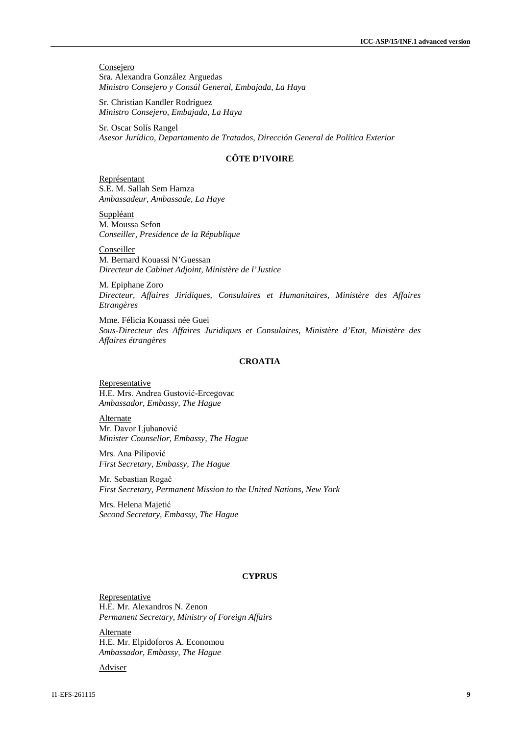**Consejero** Sra. Alexandra González Arguedas *Ministro Consejero y Consúl General, Embajada, La Haya*

Sr. Christian Kandler Rodríguez *Ministro Consejero, Embajada, La Haya*

Sr. Oscar Solís Rangel *Asesor Jurídico, Departamento de Tratados, Dirección General de Política Exterior*

## **CȎTE D'IVOIRE**

Représentant S.E. M. Sallah Sem Hamza *Ambassadeur, Ambassade, La Haye*

Suppléant M. Moussa Sefon *Conseiller, Presidence de la République*

Conseiller M. Bernard Kouassi N'Guessan *Directeur de Cabinet Adjoint, Ministère de l'Justice*

M. Epiphane Zoro *Directeur, Affaires Jiridiques, Consulaires et Humanitaires, Ministère des Affaires Etrangères*

Mme. Félicia Kouassi née Guei *Sous-Directeur des Affaires Juridiques et Consulaires, Ministère d'Etat, Ministère des Affaires étrangères*

## **CROATIA**

**Representative** H.E. Mrs. Andrea Gustović-Ercegovac *Ambassador, Embassy, The Hague*

Alternate Mr. Davor Ljubanović *Minister Counsellor, Embassy, The Hague*

Mrs. Ana Pilipović *First Secretary, Embassy, The Hague*

Mr. Sebastian Rogač *First Secretary, Permanent Mission to the United Nations, New York*

Mrs. Helena Majetić *Second Secretary, Embassy, The Hague*

#### **CYPRUS**

**Representative** H.E. Mr. Alexandros N. Zenon *Permanent Secretary, Ministry of Foreign Affairs*

**Alternate** H.E. Mr. Elpidoforos A. Economou *Ambassador, Embassy, The Hague*

Adviser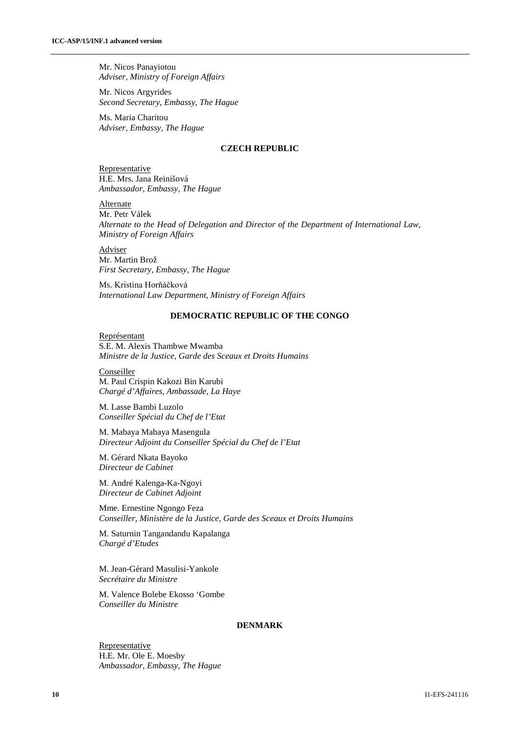Mr. Nicos Panayiotou *Adviser, Ministry of Foreign Affairs*

Mr. Nicos Argyrides *Second Secretary, Embassy, The Hague*

Ms. Maria Charitou *Adviser, Embassy, The Hague*

## **CZECH REPUBLIC**

Representative H.E. Mrs. Jana Reinišová *Ambassador, Embassy, The Hague*

Alternate Mr. Petr Válek *Alternate to the Head of Delegation and Director of the Department of International Law, Ministry of Foreign Affairs*

Adviser Mr. Martin Brož *First Secretary, Embassy, The Hague*

Ms. Kristina Horňáčková *International Law Department, Ministry of Foreign Affairs*

## **DEMOCRATIC REPUBLIC OF THE CONGO**

Représentant S.E. M. Alexis Thambwe Mwamba *Ministre de la Justice, Garde des Sceaux et Droits Humains*

**Conseiller** M. Paul Crispin Kakozi Bin Karubi *Chargé d'Affaires, Ambassade, La Haye*

M. Lasse Bambi Luzolo *Conseiller Spécial du Chef de l'Etat*

M. Mabaya Mabaya Masengula *Directeur Adjoint du Conseiller Spécial du Chef de l'Etat*

M. Gérard Nkata Bayoko *Directeur de Cabinet*

M. André Kalenga-Ka-Ngoyi *Directeur de Cabinet Adjoint*

Mme. Ernestine Ngongo Feza *Conseiller, Ministère de la Justice, Garde des Sceaux et Droits Humains*

M. Saturnin Tangandandu Kapalanga *Chargé d'Etudes*

M. Jean-Gérard Masulisi-Yankole *Secrétaire du Ministre*

M. Valence Bolebe Ekosso 'Gombe *Conseiller du Ministre*

#### **DENMARK**

**Representative** H.E. Mr. Ole E. Moesby *Ambassador, Embassy, The Hague*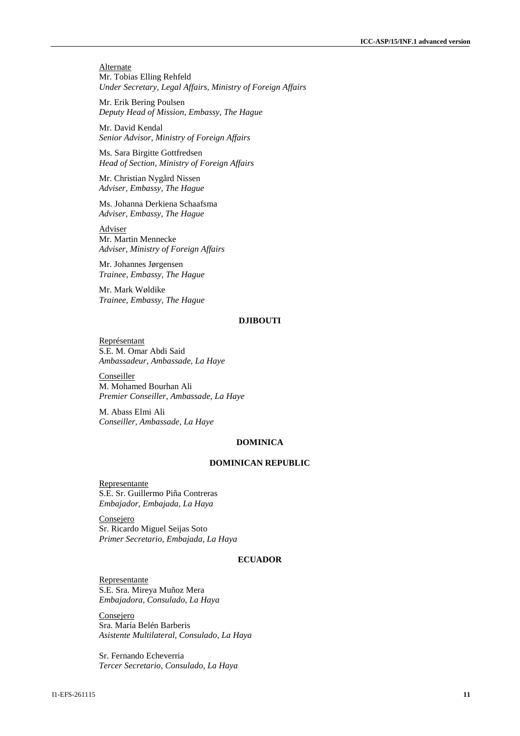**Alternate** Mr. Tobias Elling Rehfeld *Under Secretary, Legal Affairs, Ministry of Foreign Affairs*

Mr. Erik Bering Poulsen *Deputy Head of Mission, Embassy, The Hague*

Mr. David Kendal *Senior Advisor, Ministry of Foreign Affairs*

Ms. Sara Birgitte Gottfredsen *Head of Section, Ministry of Foreign Affairs*

Mr. Christian Nygård Nissen *Adviser, Embassy, The Hague*

Ms. Johanna Derkiena Schaafsma *Adviser, Embassy, The Hague*

Adviser Mr. Martin Mennecke *Adviser, Ministry of Foreign Affairs*

Mr. Johannes Jørgensen *Trainee, Embassy, The Hague*

Mr. Mark Wøldike *Trainee, Embassy, The Hague*

#### **DJIBOUTI**

Représentant S.E. M. Omar Abdi Said *Ambassadeur, Ambassade, La Haye*

**Conseiller** M. Mohamed Bourhan Ali *Premier Conseiller, Ambassade, La Haye*

M. Abass Elmi Ali *Conseiller, Ambassade, La Haye* 

#### **DOMINICA**

#### **DOMINICAN REPUBLIC**

Representante S.E. Sr. Guillermo Piña Contreras *Embajador, Embajada, La Haya*

Consejero Sr. Ricardo Miguel Seijas Soto *Primer Secretario, Embajada, La Haya*

## **ECUADOR**

Representante S.E. Sra. Mireya Muñoz Mera *Embajadora, Consulado, La Haya*

**Consejero** Sra. María Belén Barberis *Asistente Multilateral, Consulado, La Haya*

Sr. Fernando Echeverria *Tercer Secretario, Consulado, La Haya*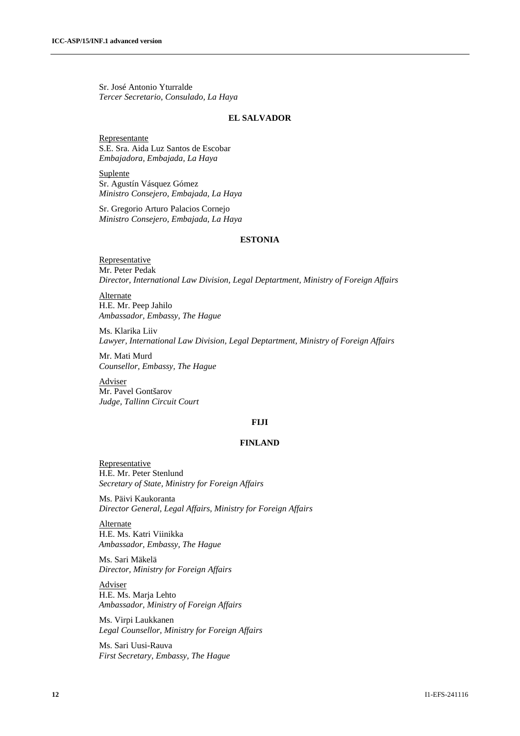Sr. José Antonio Yturralde *Tercer Secretario, Consulado, La Haya*

#### **EL SALVADOR**

Representante S.E. Sra. Aida Luz Santos de Escobar *Embajadora, Embajada, La Haya*

**Suplente** Sr. Agustín Vásquez Gómez *Ministro Consejero, Embajada, La Haya*

Sr. Gregorio Arturo Palacios Cornejo *Ministro Consejero, Embajada, La Haya*

#### **ESTONIA**

Representative Mr. Peter Pedak *Director, International Law Division, Legal Deptartment, Ministry of Foreign Affairs*

**Alternate** H.E. Mr. Peep Jahilo *Ambassador, Embassy, The Hague*

Ms. Klarika Liiv *Lawyer, International Law Division, Legal Deptartment, Ministry of Foreign Affairs*

Mr. Mati Murd *Counsellor, Embassy, The Hague*

Adviser Mr. Pavel Gontšarov *Judge, Tallinn Circuit Court*

#### **FIJI**

#### **FINLAND**

**Representative** H.E. Mr. Peter Stenlund *Secretary of State, Ministry for Foreign Affairs*

Ms. Päivi Kaukoranta *Director General, Legal Affairs, Ministry for Foreign Affairs*

Alternate H.E. Ms. Katri Viinikka *Ambassador, Embassy, The Hague*

Ms. Sari Mäkelä *Director, Ministry for Foreign Affairs*

**Adviser** H.E. Ms. Marja Lehto *Ambassador, Ministry of Foreign Affairs*

Ms. Virpi Laukkanen *Legal Counsellor, Ministry for Foreign Affairs*

Ms. Sari Uusi-Rauva *First Secretary, Embassy, The Hague*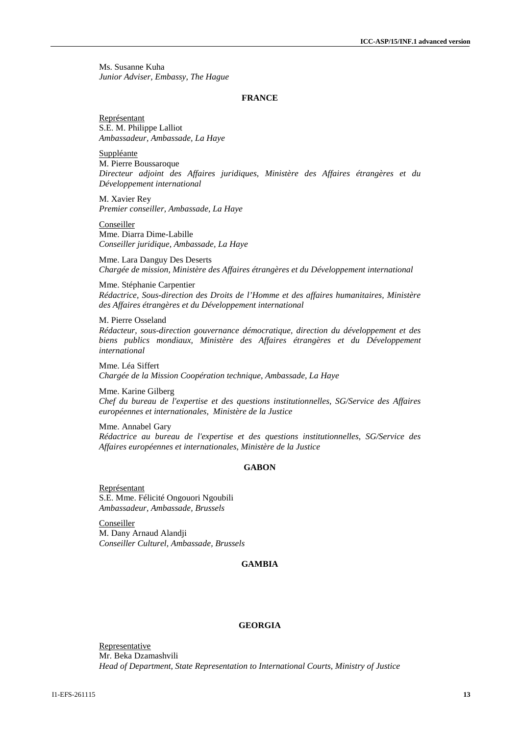Ms. Susanne Kuha *Junior Adviser, Embassy, The Hague*

#### **FRANCE**

Représentant S.E. M. Philippe Lalliot *Ambassadeur, Ambassade, La Haye*

Suppléante M. Pierre Boussaroque *Directeur adjoint des Affaires juridiques, Ministère des Affaires étrangères et du Développement international*

M. Xavier Rey *Premier conseiller, Ambassade, La Haye*

**Conseiller** Mme. Diarra Dime-Labille *Conseiller juridique, Ambassade, La Haye*

Mme. Lara Danguy Des Deserts *Chargée de mission, Ministère des Affaires étrangères et du Développement international*

Mme. Stéphanie Carpentier *Rédactrice, Sous-direction des Droits de l'Homme et des affaires humanitaires, Ministère des Affaires étrangères et du Développement international*

M. Pierre Osseland *Rédacteur, sous-direction gouvernance démocratique, direction du développement et des biens publics mondiaux, Ministère des Affaires étrangères et du Développement international*

Mme. Léa Siffert *Chargée de la Mission Coopération technique, Ambassade, La Haye*

Mme. Karine Gilberg *Chef du bureau de l'expertise et des questions institutionnelles, SG/Service des Affaires européennes et internationales, Ministère de la Justice* 

Mme. Annabel Gary *Rédactrice au bureau de l'expertise et des questions institutionnelles, SG/Service des Affaires européennes et internationales, Ministère de la Justice*

#### **GABON**

Représentant S.E. Mme. Félicité Ongouori Ngoubili *Ambassadeur, Ambassade, Brussels*

Conseiller M. Dany Arnaud Alandji *Conseiller Culturel, Ambassade, Brussels*

#### **GAMBIA**

#### **GEORGIA**

Representative Mr. Beka Dzamashvili *Head of Department, State Representation to International Courts, Ministry of Justice*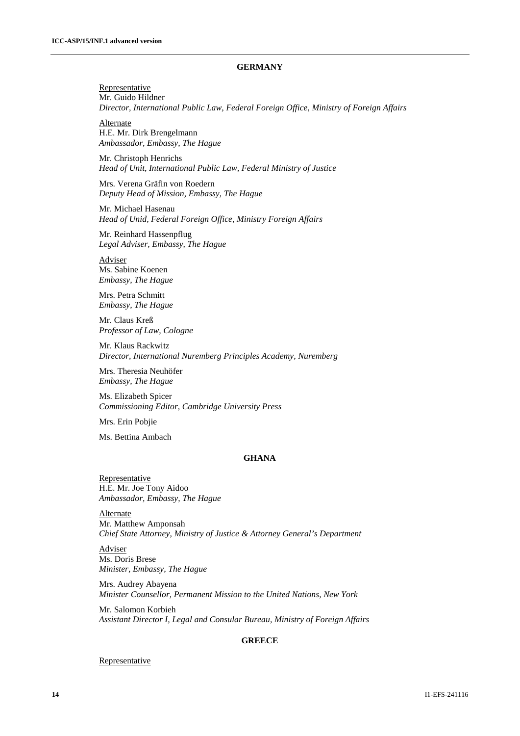### **GERMANY**

**Representative** Mr. Guido Hildner *Director, International Public Law, Federal Foreign Office, Ministry of Foreign Affairs*

**Alternate** H.E. Mr. Dirk Brengelmann *Ambassador, Embassy, The Hague*

Mr. Christoph Henrichs *Head of Unit, International Public Law, Federal Ministry of Justice*

Mrs. Verena Gräfin von Roedern *Deputy Head of Mission, Embassy, The Hague*

Mr. Michael Hasenau *Head of Unid, Federal Foreign Office, Ministry Foreign Affairs*

Mr. Reinhard Hassenpflug *Legal Adviser, Embassy, The Hague*

Adviser Ms. Sabine Koenen *Embassy, The Hague*

Mrs. Petra Schmitt *Embassy, The Hague*

Mr. Claus Kreß *Professor of Law, Cologne*

Mr. Klaus Rackwitz *Director, International Nuremberg Principles Academy, Nuremberg*

Mrs. Theresia Neuhöfer *Embassy, The Hague*

Ms. Elizabeth Spicer *Commissioning Editor, Cambridge University Press*

Mrs. Erin Pobjie

Ms. Bettina Ambach

## **GHANA**

Representative H.E. Mr. Joe Tony Aidoo *Ambassador, Embassy, The Hague*

Alternate Mr. Matthew Amponsah *Chief State Attorney, Ministry of Justice & Attorney General's Department*

Adviser Ms. Doris Brese *Minister, Embassy, The Hague*

Mrs. Audrey Abayena *Minister Counsellor, Permanent Mission to the United Nations, New York*

Mr. Salomon Korbieh *Assistant Director I, Legal and Consular Bureau, Ministry of Foreign Affairs*

#### **GREECE**

#### **Representative**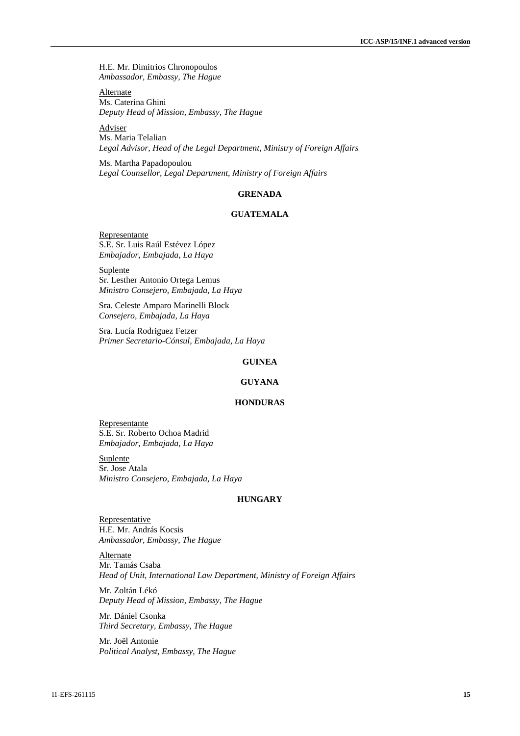H.E. Mr. Dimitrios Chronopoulos *Ambassador, Embassy, The Hague*

Alternate Ms. Caterina Ghini *Deputy Head of Mission, Embassy, The Hague*

Adviser Ms. Maria Telalian *Legal Advisor, Head of the Legal Department, Ministry of Foreign Affairs*

Ms. Martha Papadopoulou *Legal Counsellor, Legal Department, Ministry of Foreign Affairs*

#### **GRENADA**

## **GUATEMALA**

Representante S.E. Sr. Luis Raúl Estévez López *Embajador, Embajada, La Haya*

**Suplente** Sr. Lesther Antonio Ortega Lemus *Ministro Consejero, Embajada, La Haya*

Sra. Celeste Amparo Marinelli Block *Consejero, Embajada, La Haya* 

Sra. Lucía Rodriguez Fetzer *Primer Secretario-Cónsul, Embajada, La Haya*

## **GUINEA**

#### **GUYANA**

#### **HONDURAS**

Representante S.E. Sr. Roberto Ochoa Madrid *Embajador, Embajada, La Haya*

Suplente Sr. Jose Atala *Ministro Consejero, Embajada, La Haya*

#### **HUNGARY**

**Representative** H.E. Mr. András Kocsis *Ambassador, Embassy, The Hague*

**Alternate** Mr. Tamás Csaba *Head of Unit, International Law Department, Ministry of Foreign Affairs*

Mr. Zoltán Lékó *Deputy Head of Mission, Embassy, The Hague*

Mr. Dániel Csonka *Third Secretary, Embassy, The Hague*

Mr. Joël Antonie *Political Analyst, Embassy, The Hague*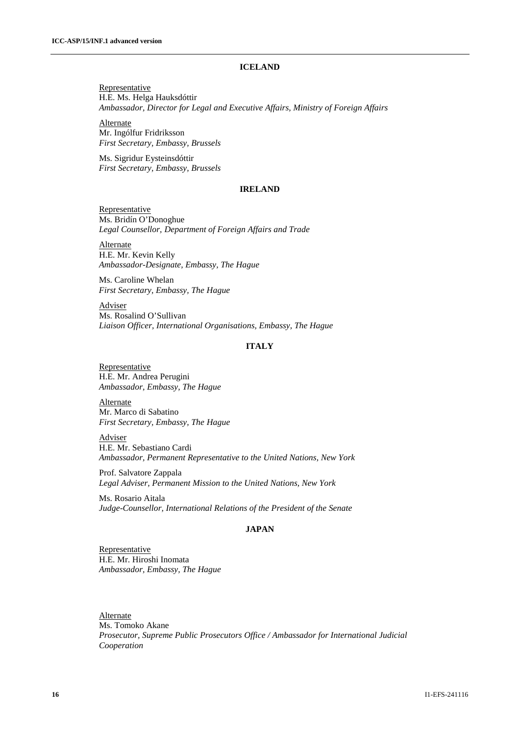## **ICELAND**

**Representative** H.E. Ms. Helga Hauksdóttir *Ambassador, Director for Legal and Executive Affairs, Ministry of Foreign Affairs*

**Alternate** Mr. Ingólfur Fridriksson *First Secretary, Embassy, Brussels*

Ms. Sigridur Eysteinsdóttir *First Secretary, Embassy, Brussels*

#### **IRELAND**

**Representative** Ms. Bridín O'Donoghue *Legal Counsellor, Department of Foreign Affairs and Trade*

Alternate H.E. Mr. Kevin Kelly *Ambassador-Designate, Embassy, The Hague*

Ms. Caroline Whelan *First Secretary, Embassy, The Hague*

Adviser Ms. Rosalind O'Sullivan *Liaison Officer, International Organisations, Embassy, The Hague*

#### **ITALY**

**Representative** H.E. Mr. Andrea Perugini *Ambassador, Embassy, The Hague*

Alternate Mr. Marco di Sabatino *First Secretary, Embassy, The Hague*

Adviser H.E. Mr. Sebastiano Cardi *Ambassador, Permanent Representative to the United Nations, New York*

Prof. Salvatore Zappala *Legal Adviser, Permanent Mission to the United Nations, New York*

Ms. Rosario Aitala *Judge-Counsellor, International Relations of the President of the Senate* 

#### **JAPAN**

**Representative** H.E. Mr. Hiroshi Inomata *Ambassador, Embassy, The Hague*

**Alternate** Ms. Tomoko Akane *Prosecutor, Supreme Public Prosecutors Office / Ambassador for International Judicial Cooperation*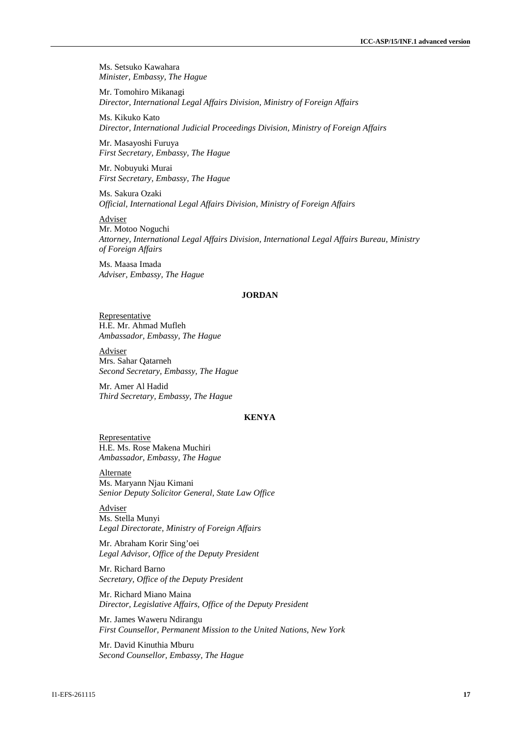Ms. Setsuko Kawahara *Minister, Embassy, The Hague*

Mr. Tomohiro Mikanagi *Director, International Legal Affairs Division, Ministry of Foreign Affairs*

Ms. Kikuko Kato *Director, International Judicial Proceedings Division, Ministry of Foreign Affairs*

Mr. Masayoshi Furuya *First Secretary, Embassy, The Hague*

Mr. Nobuyuki Murai *First Secretary, Embassy, The Hague*

Ms. Sakura Ozaki *Official, International Legal Affairs Division, Ministry of Foreign Affairs*

Adviser Mr. Motoo Noguchi *Attorney, International Legal Affairs Division, International Legal Affairs Bureau, Ministry of Foreign Affairs*

Ms. Maasa Imada *Adviser, Embassy, The Hague*

#### **JORDAN**

Representative H.E. Mr. Ahmad Mufleh *Ambassador, Embassy, The Hague*

Adviser Mrs. Sahar Qatarneh *Second Secretary, Embassy, The Hague*

Mr. Amer Al Hadid *Third Secretary, Embassy, The Hague*

## **KENYA**

Representative H.E. Ms. Rose Makena Muchiri *Ambassador, Embassy, The Hague*

**Alternate** Ms. Maryann Njau Kimani *Senior Deputy Solicitor General, State Law Office*

Adviser Ms. Stella Munyi *Legal Directorate, Ministry of Foreign Affairs*

Mr. Abraham Korir Sing'oei *Legal Advisor, Office of the Deputy President*

Mr. Richard Barno *Secretary, Office of the Deputy President*

Mr. Richard Miano Maina *Director, Legislative Affairs, Office of the Deputy President*

Mr. James Waweru Ndirangu *First Counsellor, Permanent Mission to the United Nations, New York*

Mr. David Kinuthia Mburu *Second Counsellor, Embassy, The Hague*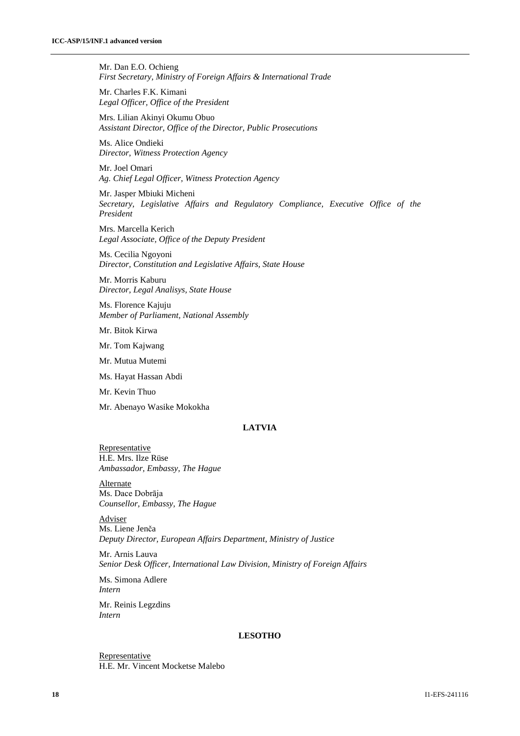Mr. Dan E.O. Ochieng *First Secretary, Ministry of Foreign Affairs & International Trade*

Mr. Charles F.K. Kimani *Legal Officer, Office of the President*

Mrs. Lilian Akinyi Okumu Obuo *Assistant Director, Office of the Director, Public Prosecutions*

Ms. Alice Ondieki *Director, Witness Protection Agency*

Mr. Joel Omari *Ag. Chief Legal Officer, Witness Protection Agency*

Mr. Jasper Mbiuki Micheni *Secretary, Legislative Affairs and Regulatory Compliance, Executive Office of the President*

Mrs. Marcella Kerich *Legal Associate, Office of the Deputy President*

Ms. Cecilia Ngoyoni *Director, Constitution and Legislative Affairs, State House*

Mr. Morris Kaburu *Director, Legal Analisys, State House*

Ms. Florence Kajuju *Member of Parliament, National Assembly* 

Mr. Bitok Kirwa

Mr. Tom Kajwang

Mr. Mutua Mutemi

Ms. Hayat Hassan Abdi

Mr. Kevin Thuo

Mr. Abenayo Wasike Mokokha

## **LATVIA**

**Representative** H.E. Mrs. Ilze Rüse *Ambassador, Embassy, The Hague*

**Alternate** Ms. Dace Dobrāja *Counsellor, Embassy, The Hague*

Adviser Ms. Liene Jenča *Deputy Director, European Affairs Department, Ministry of Justice*

Mr. Arnis Lauva *Senior Desk Officer, International Law Division, Ministry of Foreign Affairs* 

Ms. Simona Adlere *Intern* 

Mr. Reinis Legzdins *Intern* 

#### **LESOTHO**

Representative H.E. Mr. Vincent Mocketse Malebo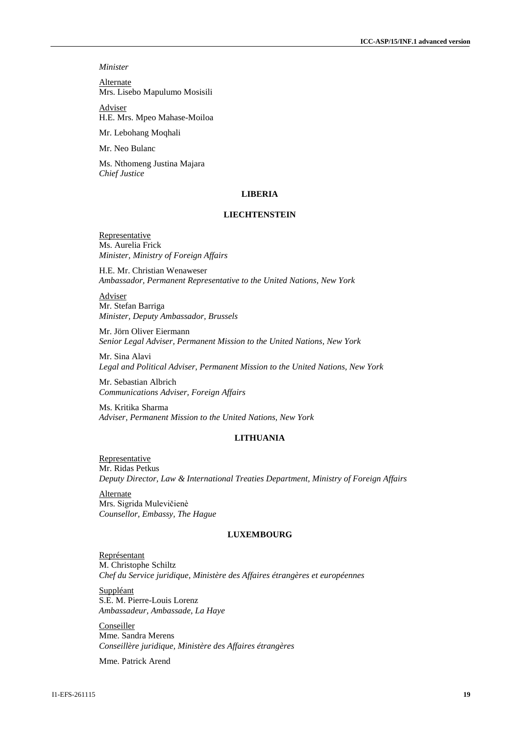*Minister*

Alternate Mrs. Lisebo Mapulumo Mosisili

Adviser H.E. Mrs. Mpeo Mahase-Moiloa

Mr. Lebohang Moqhali

Mr. Neo Bulanc

Ms. Nthomeng Justina Majara *Chief Justice*

#### **LIBERIA**

## **LIECHTENSTEIN**

Representative Ms. Aurelia Frick *Minister, Ministry of Foreign Affairs*

H.E. Mr. Christian Wenaweser *Ambassador, Permanent Representative to the United Nations, New York*

**Adviser** Mr. Stefan Barriga *Minister, Deputy Ambassador, Brussels*

Mr. Jörn Oliver Eiermann *Senior Legal Adviser, Permanent Mission to the United Nations, New York*

Mr. Sina Alavi *Legal and Political Adviser, Permanent Mission to the United Nations, New York*

Mr. Sebastian Albrich *Communications Adviser, Foreign Affairs*

Ms. Kritika Sharma *Adviser, Permanent Mission to the United Nations, New York*

## **LITHUANIA**

Representative Mr. Ridas Petkus *Deputy Director, Law & International Treaties Department, Ministry of Foreign Affairs*

Alternate Mrs. Sigrida Mulevičienѐ *Counsellor, Embassy, The Hague*

#### **LUXEMBOURG**

Représentant M. Christophe Schiltz *Chef du Service juridique, Ministère des Affaires étrangères et européennes* 

**Suppléant** S.E. M. Pierre-Louis Lorenz *Ambassadeur, Ambassade, La Haye*

Conseiller Mme. Sandra Merens *Conseillère juridique, Ministère des Affaires étrangères*

Mme. Patrick Arend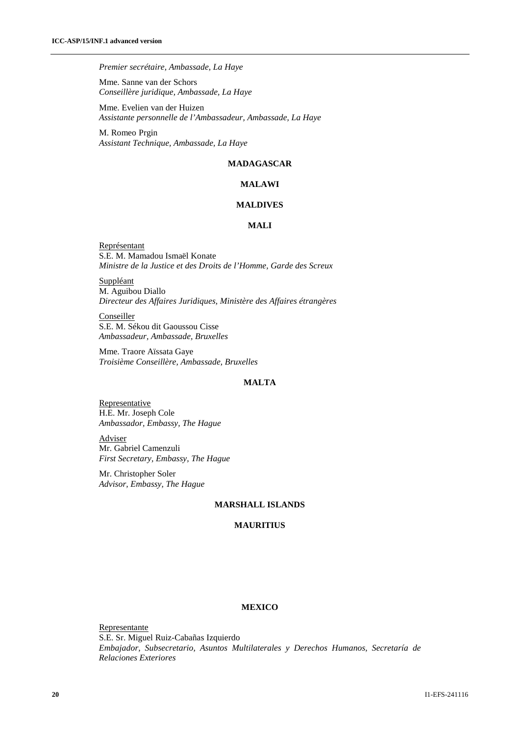#### *Premier secrétaire, Ambassade, La Haye*

Mme. Sanne van der Schors *Conseillère juridique, Ambassade, La Haye*

Mme. Evelien van der Huizen *Assistante personnelle de l'Ambassadeur, Ambassade, La Haye*

M. Romeo Prgin *Assistant Technique, Ambassade, La Haye*

## **MADAGASCAR**

## **MALAWI**

#### **MALDIVES**

#### **MALI**

Représentant S.E. M. Mamadou Ismaël Konate *Ministre de la Justice et des Droits de l'Homme, Garde des Screux*

**Suppléant** M. Aguibou Diallo *Directeur des Affaires Juridiques, Ministère des Affaires étrangères*

Conseiller S.E. M. Sékou dit Gaoussou Cisse *Ambassadeur, Ambassade, Bruxelles*

Mme. Traore Aïssata Gaye *Troisième Conseillère, Ambassade, Bruxelles*

## **MALTA**

**Representative** H.E. Mr. Joseph Cole *Ambassador, Embassy, The Hague*

Adviser Mr. Gabriel Camenzuli *First Secretary, Embassy, The Hague*

Mr. Christopher Soler *Advisor, Embassy, The Hague*

## **MARSHALL ISLANDS**

## **MAURITIUS**

## **MEXICO**

Representante S.E. Sr. Miguel Ruiz-Cabañas Izquierdo *Embajador, Subsecretario, Asuntos Multilaterales y Derechos Humanos, Secretaría de Relaciones Exteriores*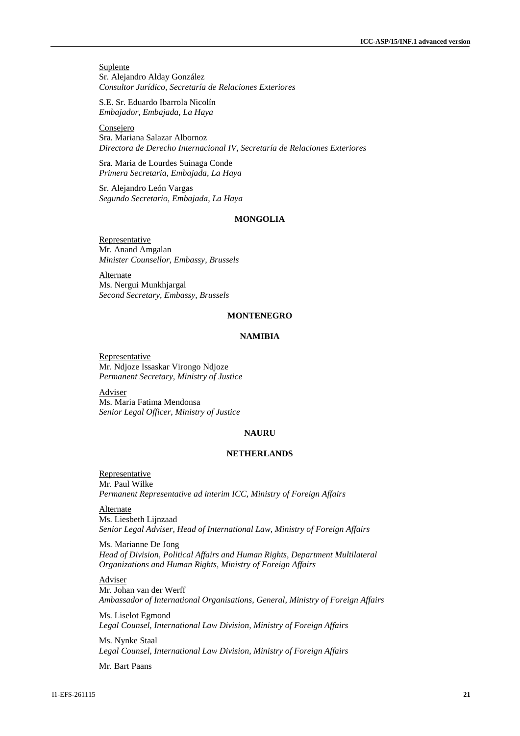**Suplente** Sr. Alejandro Alday González *Consultor Jurídico, Secretaría de Relaciones Exteriores*

S.E. Sr. Eduardo Ibarrola Nicolín *Embajador, Embajada, La Haya*

Consejero Sra. Mariana Salazar Albornoz *Directora de Derecho Internacional IV, Secretaría de Relaciones Exteriores*

Sra. Maria de Lourdes Suinaga Conde *Primera Secretaria, Embajada, La Haya*

Sr. Alejandro León Vargas *Segundo Secretario, Embajada, La Haya*

## **MONGOLIA**

Representative Mr. Anand Amgalan *Minister Counsellor, Embassy, Brussels*

**Alternate** Ms. Nergui Munkhjargal *Second Secretary, Embassy, Brussels*

#### **MONTENEGRO**

#### **NAMIBIA**

Representative Mr. Ndjoze Issaskar Virongo Ndjoze *Permanent Secretary, Ministry of Justice*

Adviser Ms. Maria Fatima Mendonsa *Senior Legal Officer, Ministry of Justice*

## **NAURU**

#### **NETHERLANDS**

**Representative** Mr. Paul Wilke *Permanent Representative ad interim ICC, Ministry of Foreign Affairs*

**Alternate** Ms. Liesbeth Lijnzaad *Senior Legal Adviser, Head of International Law, Ministry of Foreign Affairs*

Ms. Marianne De Jong *Head of Division, Political Affairs and Human Rights, Department Multilateral Organizations and Human Rights, Ministry of Foreign Affairs*

## Adviser

Mr. Johan van der Werff *Ambassador of International Organisations, General, Ministry of Foreign Affairs* 

Ms. Liselot Egmond *Legal Counsel, International Law Division, Ministry of Foreign Affairs* 

Ms. Nynke Staal *Legal Counsel, International Law Division, Ministry of Foreign Affairs* 

Mr. Bart Paans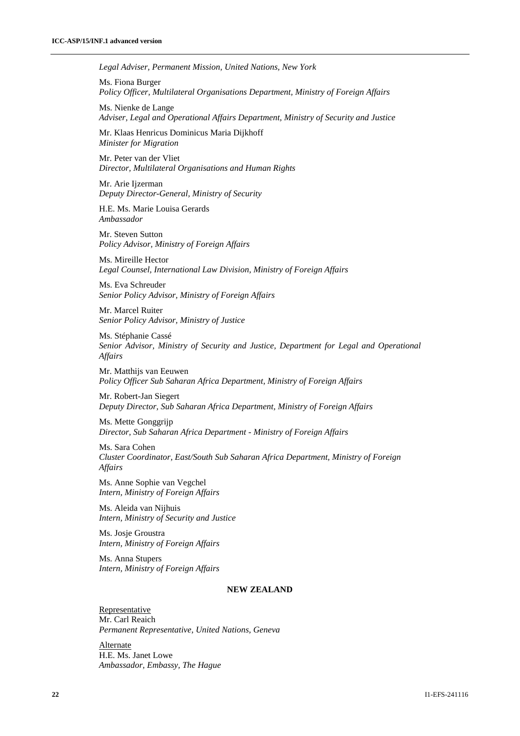*Legal Adviser, Permanent Mission, United Nations, New York*

Ms. Fiona Burger *Policy Officer, Multilateral Organisations Department, Ministry of Foreign Affairs*

Ms. Nienke de Lange *Adviser, Legal and Operational Affairs Department, Ministry of Security and Justice*

Mr. Klaas Henricus Dominicus Maria Dijkhoff *Minister for Migration*

Mr. Peter van der Vliet *Director, Multilateral Organisations and Human Rights* 

Mr. Arie Ijzerman *Deputy Director-General, Ministry of Security*

H.E. Ms. Marie Louisa Gerards *Ambassador* 

Mr. Steven Sutton *Policy Advisor, Ministry of Foreign Affairs*

Ms. Mireille Hector *Legal Counsel, International Law Division, Ministry of Foreign Affairs*

Ms. Eva Schreuder *Senior Policy Advisor, Ministry of Foreign Affairs* 

Mr. Marcel Ruiter *Senior Policy Advisor, Ministry of Justice* 

Ms. Stéphanie Cassé *Senior Advisor, Ministry of Security and Justice, Department for Legal and Operational Affairs*

Mr. Matthijs van Eeuwen *Policy Officer Sub Saharan Africa Department, Ministry of Foreign Affairs* 

Mr. Robert-Jan Siegert *Deputy Director, Sub Saharan Africa Department, Ministry of Foreign Affairs*

Ms. Mette Gonggrijp *Director, Sub Saharan Africa Department - Ministry of Foreign Affairs* 

Ms. Sara Cohen *Cluster Coordinator, East/South Sub Saharan Africa Department, Ministry of Foreign Affairs* 

Ms. Anne Sophie van Vegchel *Intern, Ministry of Foreign Affairs*

Ms. Aleida van Nijhuis *Intern, Ministry of Security and Justice* 

Ms. Josje Groustra *Intern, Ministry of Foreign Affairs*

Ms. Anna Stupers *Intern, Ministry of Foreign Affairs*

## **NEW ZEALAND**

**Representative** Mr. Carl Reaich *Permanent Representative, United Nations, Geneva* 

Alternate H.E. Ms. Janet Lowe *Ambassador, Embassy, The Hague*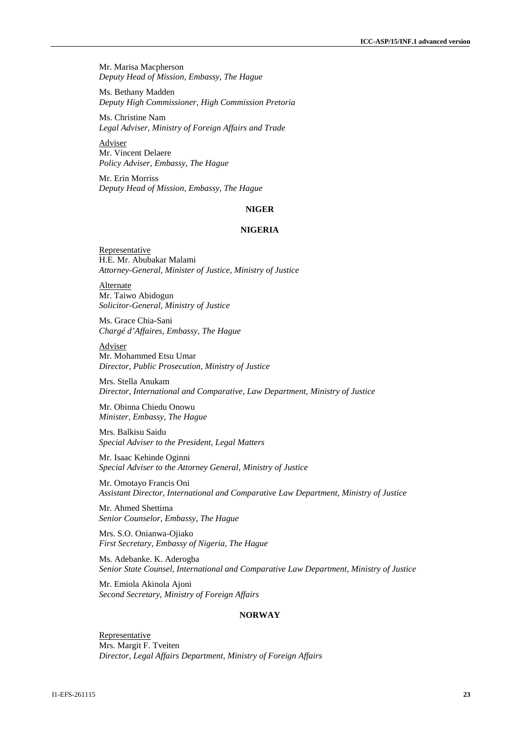Mr. Marisa Macpherson *Deputy Head of Mission, Embassy, The Hague*

Ms. Bethany Madden *Deputy High Commissioner, High Commission Pretoria*

Ms. Christine Nam *Legal Adviser, Ministry of Foreign Affairs and Trade*

Adviser Mr. Vincent Delaere *Policy Adviser, Embassy, The Hague*

Mr. Erin Morriss *Deputy Head of Mission, Embassy, The Hague*

#### **NIGER**

#### **NIGERIA**

Representative H.E. Mr. Abubakar Malami *Attorney-General, Minister of Justice, Ministry of Justice*

**Alternate** Mr. Taiwo Abidogun *Solicitor-General, Ministry of Justice*

Ms. Grace Chia-Sani *Chargé d'Affaires, Embassy, The Hague*

Adviser Mr. Mohammed Etsu Umar *Director, Public Prosecution, Ministry of Justice*

Mrs. Stella Anukam *Director, International and Comparative, Law Department, Ministry of Justice*

Mr. Obinna Chiedu Onowu *Minister, Embassy, The Hague*

Mrs. Balkisu Saidu *Special Adviser to the President, Legal Matters*

Mr. Isaac Kehinde Oginni *Special Adviser to the Attorney General, Ministry of Justice*

Mr. Omotayo Francis Oni *Assistant Director, International and Comparative Law Department, Ministry of Justice*

Mr. Ahmed Shettima *Senior Counselor, Embassy, The Hague*

Mrs. S.O. Onianwa-Ojiako *First Secretary, Embassy of Nigeria, The Hague*

Ms. Adebanke. K. Aderogba *Senior State Counsel, International and Comparative Law Department, Ministry of Justice*

Mr. Emiola Akinola Ajoni *Second Secretary, Ministry of Foreign Affairs*

#### **NORWAY**

Representative Mrs. Margit F. Tveiten *Director, Legal Affairs Department, Ministry of Foreign Affairs*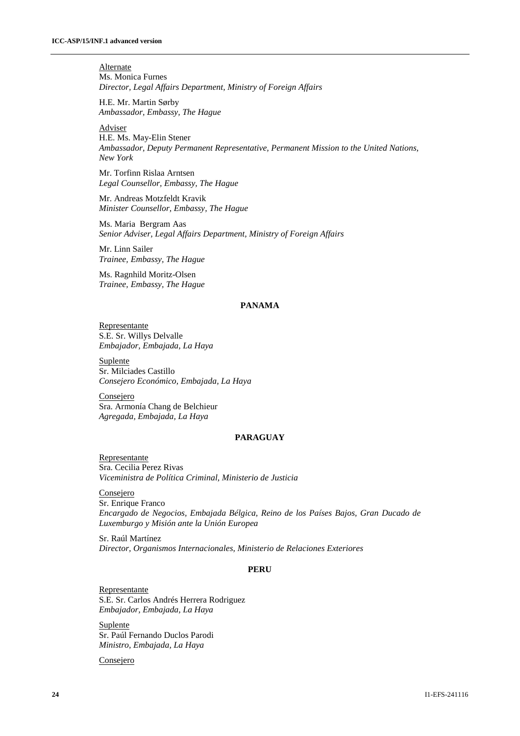**Alternate** Ms. Monica Furnes *Director, Legal Affairs Department, Ministry of Foreign Affairs*

H.E. Mr. Martin Sørby *Ambassador, Embassy, The Hague*

Adviser

H.E. Ms. May-Elin Stener *Ambassador, Deputy Permanent Representative, Permanent Mission to the United Nations, New York*

Mr. Torfinn Rislaa Arntsen *Legal Counsellor, Embassy, The Hague*

Mr. Andreas Motzfeldt Kravik *Minister Counsellor, Embassy, The Hague*

Ms. Maria Bergram Aas *Senior Adviser, Legal Affairs Department, Ministry of Foreign Affairs*

Mr. Linn Sailer *Trainee, Embassy, The Hague*

Ms. Ragnhild Moritz-Olsen *Trainee, Embassy, The Hague*

### **PANAMA**

Representante S.E. Sr. Willys Delvalle *Embajador, Embajada, La Haya*

Suplente Sr. Milciades Castillo *Consejero Económico, Embajada, La Haya*

**Consejero** Sra. Armonía Chang de Belchieur *Agregada, Embajada, La Haya*

## **PARAGUAY**

Representante Sra. Cecilia Perez Rivas *Viceministra de Política Criminal, Ministerio de Justicia*

Consejero Sr. Enrique Franco *Encargado de Negocios, Embajada Bélgica, Reino de los Países Bajos, Gran Ducado de Luxemburgo y Misión ante la Unión Europea*

Sr. Raúl Martínez *Director, Organismos Internacionales, Ministerio de Relaciones Exteriores*

#### **PERU**

Representante S.E. Sr. Carlos Andrés Herrera Rodriguez *Embajador, Embajada, La Haya*

Suplente Sr. Paúl Fernando Duclos Parodi *Ministro, Embajada, La Haya*

Consejero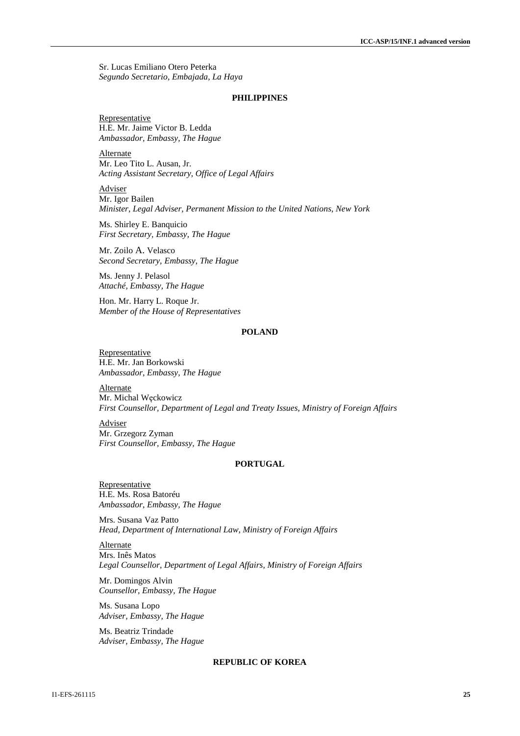Sr. Lucas Emiliano Otero Peterka *Segundo Secretario, Embajada, La Haya*

#### **PHILIPPINES**

**Representative** H.E. Mr. Jaime Victor B. Ledda *Ambassador, Embassy, The Hague*

Alternate Mr. Leo Tito L. Ausan, Jr. *Acting Assistant Secretary, Office of Legal Affairs*

Adviser Mr. Igor Bailen *Minister, Legal Adviser, Permanent Mission to the United Nations, New York*

Ms. Shirley E. Banquicio *First Secretary, Embassy, The Hague*

Mr. Zoilo A. Velasco *Second Secretary, Embassy, The Hague*

Ms. Jenny J. Pelasol *Attaché, Embassy, The Hague*

Hon. Mr. Harry L. Roque Jr. *Member of the House of Representatives*

## **POLAND**

Representative H.E. Mr. Jan Borkowski *Ambassador*, *Embassy, The Hague*

Alternate Mr. Michal Węckowicz *First Counsellor, Department of Legal and Treaty Issues, Ministry of Foreign Affairs*

**Adviser** Mr. Grzegorz Zyman *First Counsellor, Embassy, The Hague*

## **PORTUGAL**

Representative H.E. Ms. Rosa Batoréu *Ambassador*, *Embassy, The Hague*

Mrs. Susana Vaz Patto *Head, Department of International Law, Ministry of Foreign Affairs*

Alternate Mrs. Inês Matos *Legal Counsellor, Department of Legal Affairs, Ministry of Foreign Affairs*

Mr. Domingos Alvin *Counsellor, Embassy, The Hague*

Ms. Susana Lopo *Adviser, Embassy, The Hague*

Ms. Beatriz Trindade *Adviser, Embassy, The Hague*

#### **REPUBLIC OF KOREA**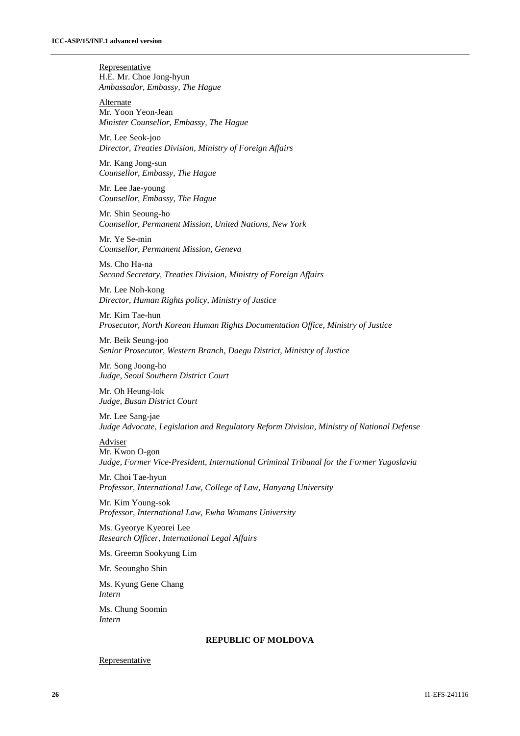**Representative** H.E. Mr. Choe Jong-hyun *Ambassador, Embassy, The Hague*

Alternate Mr. Yoon Yeon-Jean *Minister Counsellor, Embassy, The Hague*

Mr. Lee Seok-joo *Director, Treaties Division, Ministry of Foreign Affairs*

Mr. Kang Jong-sun *Counsellor, Embassy, The Hague*

Mr. Lee Jae-young *Counsellor, Embassy, The Hague*

Mr. Shin Seoung-ho *Counsellor, Permanent Mission, United Nations, New York*

Mr. Ye Se-min *Counsellor, Permanent Mission, Geneva*

Ms. Cho Ha-na *Second Secretary, Treaties Division, Ministry of Foreign Affairs*

Mr. Lee Noh-kong *Director, Human Rights policy, Ministry of Justice*

Mr. Kim Tae-hun *Prosecutor, North Korean Human Rights Documentation Office, Ministry of Justice*

Mr. Beik Seung-joo *Senior Prosecutor, Western Branch, Daegu District, Ministry of Justice*

Mr. Song Joong-ho *Judge, Seoul Southern District Court*

Mr. Oh Heung-lok *Judge, Busan District Court*

Mr. Lee Sang-jae *Judge Advocate, Legislation and Regulatory Reform Division, Ministry of National Defense*

Adviser

Mr. Kwon O-gon *Judge, Former Vice-President, International Criminal Tribunal for the Former Yugoslavia*

Mr. Choi Tae-hyun *Professor, International Law, College of Law, Hanyang University*

Mr. Kim Young-sok *Professor, International Law, Ewha Womans University*

Ms. Gyeorye Kyeorei Lee *Research Officer, International Legal Affairs*

Ms. Greemn Sookyung Lim

Mr. Seoungho Shin

Ms. Kyung Gene Chang *Intern*

Ms. Chung Soomin *Intern*

## **REPUBLIC OF MOLDOVA**

#### Representative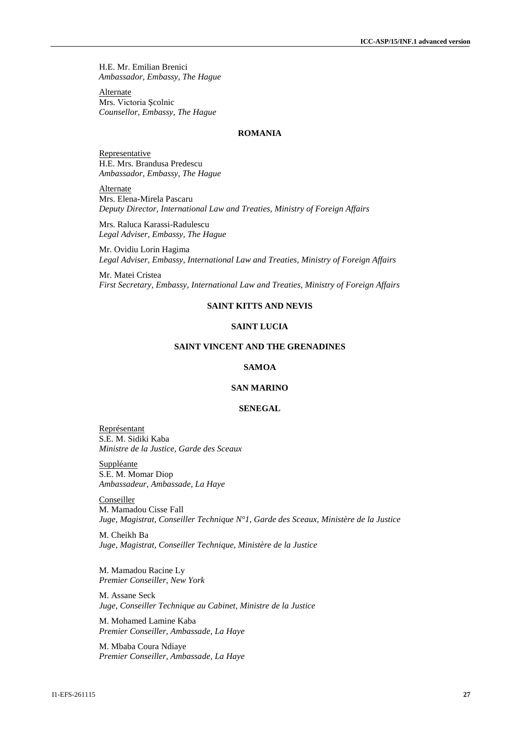H.E. Mr. Emilian Brenici *Ambassador, Embassy, The Hague*

Alternate Mrs. Victoria Şcolnic *Counsellor, Embassy, The Hague*

## **ROMANIA**

Representative H.E. Mrs. Brandusa Predescu *Ambassador, Embassy, The Hague*

Alternate Mrs. Elena-Mirela Pascaru *Deputy Director, International Law and Treaties, Ministry of Foreign Affairs*

Mrs. Raluca Karassi-Radulescu *Legal Adviser, Embassy, The Hague*

Mr. Ovidiu Lorin Hagima *Legal Adviser, Embassy, International Law and Treaties, Ministry of Foreign Affairs*

Mr. Matei Cristea *First Secretary, Embassy, International Law and Treaties, Ministry of Foreign Affairs*

## **SAINT KITTS AND NEVIS**

#### **SAINT LUCIA**

#### **SAINT VINCENT AND THE GRENADINES**

## **SAMOA**

## **SAN MARINO**

## **SENEGAL**

Représentant S.E. M. Sidiki Kaba *Ministre de la Justice, Garde des Sceaux*

Suppléante S.E. M. Momar Diop *Ambassadeur, Ambassade, La Haye*

**Conseiller** M. Mamadou Cisse Fall *Juge, Magistrat, Conseiller Technique N°1, Garde des Sceaux, Ministère de la Justice*

M. Cheikh Ba *Juge, Magistrat, Conseiller Technique, Ministère de la Justice*

M. Mamadou Racine Ly *Premier Conseiller, New York*

M. Assane Seck *Juge, Conseiller Technique au Cabinet, Ministre de la Justice*

M. Mohamed Lamine Kaba *Premier Conseiller, Ambassade, La Haye*

M. Mbaba Coura Ndiaye *Premier Conseiller, Ambassade, La Haye*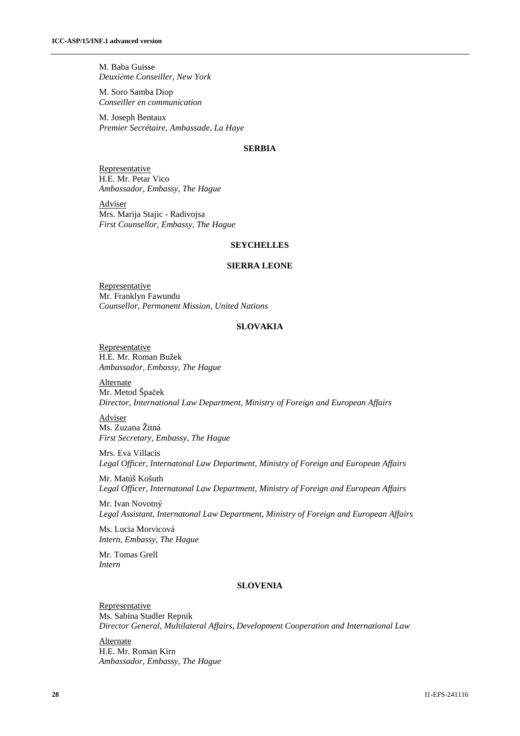M. Baba Guisse *Deuxiѐme Conseiller, New York*

M. Soro Samba Diop *Conseiller en communication* 

M. Joseph Bentaux *Premier Secrétaire, Ambassade, La Haye*

## **SERBIA**

Representative H.E. Mr. Petar Vico *Ambassador, Embassy, The Hague*

Adviser Mrs. Marija Stajic - Radivojsa *First Counsellor, Embassy, The Hague*

## **SEYCHELLES**

#### **SIERRA LEONE**

**Representative** Mr. Franklyn Fawundu *Counsellor, Permanent Mission, United Nations*

#### **SLOVAKIA**

**Representative** H.E. Mr. Roman Bužek *Ambassador, Embassy, The Hague*

Alternate Mr. Metod Špaček *Director, International Law Department, Ministry of Foreign and European Affairs*

Adviser Ms. Zuzana Žitná *First Secretary, Embassy, The Hague*

Mrs. Eva Villacis *Legal Officer, Internatonal Law Department, Ministry of Foreign and European Affairs*

Mr. Matúš Košuth *Legal Officer, Internatonal Law Department, Ministry of Foreign and European Affairs*

Mr. Ivan Novotný *Legal Assistant, Internatonal Law Department, Ministry of Foreign and European Affairs*

Ms. Lucia Morvicová *Intern, Embassy, The Hague*

Mr. Tomas Grell *Intern*

#### **SLOVENIA**

Representative Ms. Sabina Stadler Repnik *Director General, Multilateral Affairs, Development Cooperation and International Law*

**Alternate** H.E. Mr. Roman Kirn *Ambassador, Embassy, The Hague*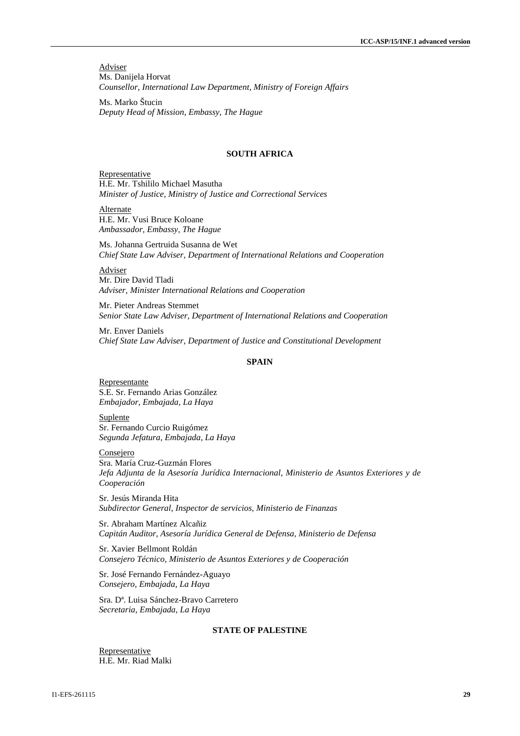Adviser Ms. Danijela Horvat *Counsellor, International Law Department, Ministry of Foreign Affairs*

Ms. Marko Štucin *Deputy Head of Mission, Embassy, The Hague*

#### **SOUTH AFRICA**

Representative H.E. Mr. Tshililo Michael Masutha *Minister of Justice, Ministry of Justice and Correctional Services*

Alternate H.E. Mr. Vusi Bruce Koloane *Ambassador, Embassy, The Hague*

Ms. Johanna Gertruida Susanna de Wet *Chief State Law Adviser, Department of International Relations and Cooperation*

Adviser Mr. Dire David Tladi *Adviser, Minister International Relations and Cooperation*

Mr. Pieter Andreas Stemmet *Senior State Law Adviser, Department of International Relations and Cooperation*

Mr. Enver Daniels *Chief State Law Adviser, Department of Justice and Constitutional Development*

#### **SPAIN**

Representante S.E. Sr. Fernando Arias González *Embajador, Embajada, La Haya*

Suplente Sr. Fernando Curcio Ruigómez *Segunda Jefatura, Embajada, La Haya*

**Consejero** Sra. María Cruz-Guzmán Flores *Jefa Adjunta de la Asesoría Jurídica Internacional, Ministerio de Asuntos Exteriores y de Cooperación*

Sr. Jesús Miranda Hita *Subdirector General, Inspector de servicios, Ministerio de Finanzas*

Sr. Abraham Martínez Alcañiz *Capitán Auditor, Asesoría Jurídica General de Defensa, Ministerio de Defensa*

Sr. Xavier Bellmont Roldán *Consejero Técnico, Ministerio de Asuntos Exteriores y de Cooperación*

Sr. José Fernando Fernández-Aguayo *Consejero, Embajada, La Haya*

Sra. Dª. Luisa Sánchez-Bravo Carretero *Secretaria, Embajada, La Haya*

#### **STATE OF PALESTINE**

**Representative** H.E. Mr. Riad Malki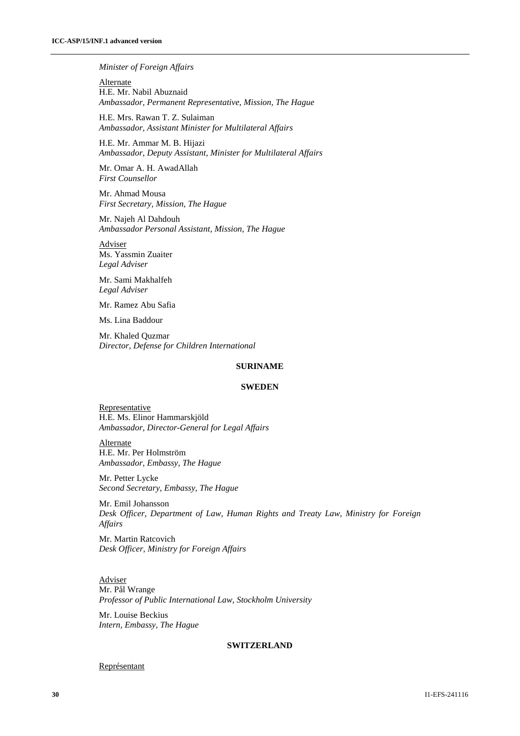#### *Minister of Foreign Affairs*

Alternate H.E. Mr. Nabil Abuznaid *Ambassador, Permanent Representative, Mission, The Hague*

H.E. Mrs. Rawan T. Z. Sulaiman *Ambassador, Assistant Minister for Multilateral Affairs*

H.E. Mr. Ammar M. B. Hijazi *Ambassador, Deputy Assistant, Minister for Multilateral Affairs*

Mr. Omar A. H. AwadAllah *First Counsellor*

Mr. Ahmad Mousa *First Secretary, Mission, The Hague*

Mr. Najeh Al Dahdouh *Ambassador Personal Assistant, Mission, The Hague*

Adviser Ms. Yassmin Zuaiter *Legal Adviser* 

Mr. Sami Makhalfeh *Legal Adviser*

Mr. Ramez Abu Safia

Ms. Lina Baddour

Mr. Khaled Quzmar *Director, Defense for Children International*

#### **SURINAME**

#### **SWEDEN**

Representative H.E. Ms. Elinor Hammarskjöld *Ambassador, Director-General for Legal Affairs*

**Alternate** H.E. Mr. Per Holmström *Ambassador, Embassy, The Hague*

Mr. Petter Lycke *Second Secretary, Embassy, The Hague*

Mr. Emil Johansson *Desk Officer, Department of Law, Human Rights and Treaty Law, Ministry for Foreign Affairs*

Mr. Martin Ratcovich *Desk Officer, Ministry for Foreign Affairs*

Adviser Mr. Pål Wrange *Professor of Public International Law, Stockholm University*

Mr. Louise Beckius *Intern, Embassy, The Hague*

#### **SWITZERLAND**

#### Représentant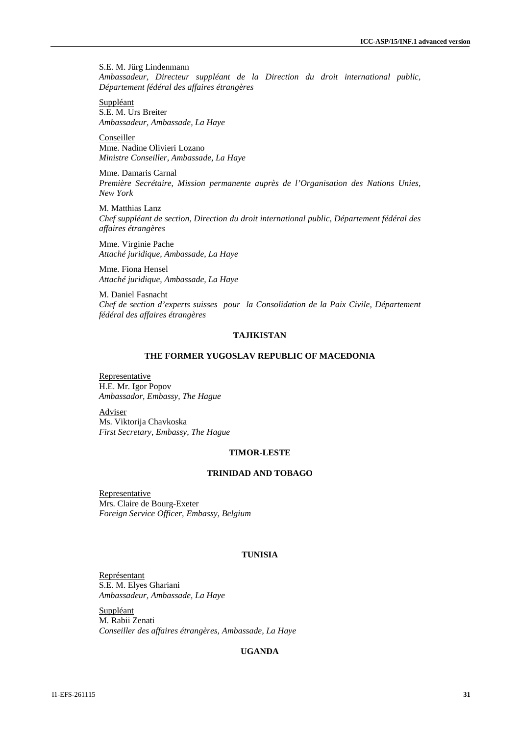S.E. M. Jürg Lindenmann *Ambassadeur, Directeur suppléant de la Direction du droit international public, Département fédéral des affaires étrangères*

Suppléant S.E. M. Urs Breiter *Ambassadeur, Ambassade, La Haye*

**Conseiller** Mme. Nadine Olivieri Lozano *Ministre Conseiller, Ambassade, La Haye*

Mme. Damaris Carnal *Première Secrétaire, Mission permanente auprès de l'Organisation des Nations Unies, New York*

M. Matthias Lanz *Chef suppléant de section, Direction du droit international public, Département fédéral des affaires étrangères*

Mme. Virginie Pache *Attaché juridique, Ambassade, La Haye*

Mme. Fiona Hensel *Attaché juridique, Ambassade, La Haye*

M. Daniel Fasnacht *Chef de section d'experts suisses pour la Consolidation de la Paix Civile, Département fédéral des affaires étrangères*

## **TAJIKISTAN**

## **THE FORMER YUGOSLAV REPUBLIC OF MACEDONIA**

Representative H.E. Mr. Igor Popov *Ambassador, Embassy, The Hague*

Adviser Ms. Viktorija Chavkoska *First Secretary, Embassy, The Hague*

#### **TIMOR-LESTE**

## **TRINIDAD AND TOBAGO**

Representative Mrs. Claire de Bourg-Exeter *Foreign Service Officer, Embassy, Belgium*

## **TUNISIA**

Représentant S.E. M. Elyes Ghariani *Ambassadeur, Ambassade, La Haye*

Suppléant M. Rabii Zenati *Conseiller des affaires étrangères, Ambassade, La Haye*

## **UGANDA**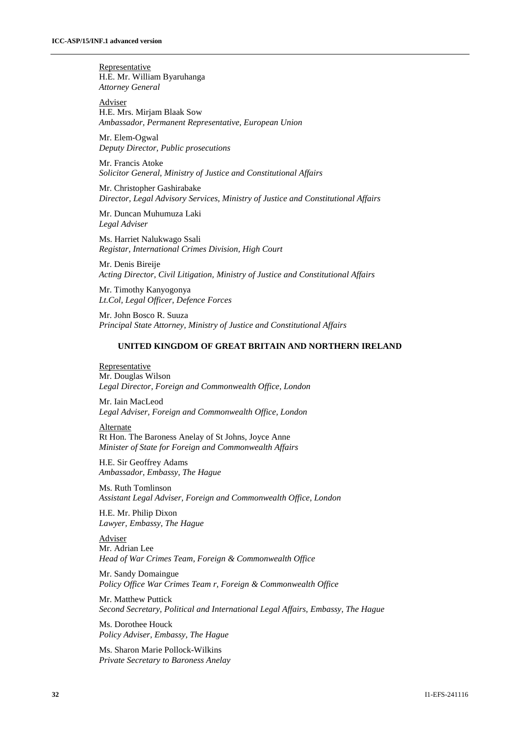**Representative** H.E. Mr. William Byaruhanga *Attorney General* 

Adviser H.E. Mrs. Mirjam Blaak Sow *Ambassador, Permanent Representative, European Union*

Mr. Elem-Ogwal *Deputy Director, Public prosecutions*

Mr. Francis Atoke *Solicitor General, Ministry of Justice and Constitutional Affairs*

Mr. Christopher Gashirabake *Director, Legal Advisory Services, Ministry of Justice and Constitutional Affairs*

Mr. Duncan Muhumuza Laki *Legal Adviser*

Ms. Harriet Nalukwago Ssali *Registar, International Crimes Division, High Court*

Mr. Denis Bireije *Acting Director, Civil Litigation, Ministry of Justice and Constitutional Affairs*

Mr. Timothy Kanyogonya *Lt.Col, Legal Officer, Defence Forces*

Mr. John Bosco R. Suuza *Principal State Attorney, Ministry of Justice and Constitutional Affairs*

#### **UNITED KINGDOM OF GREAT BRITAIN AND NORTHERN IRELAND**

#### Representative Mr. Douglas Wilson *Legal Director, Foreign and Commonwealth Office, London*

Mr. Iain MacLeod *Legal Adviser, Foreign and Commonwealth Office, London*

Alternate Rt Hon. The Baroness Anelay of St Johns, Joyce Anne *Minister of State for Foreign and Commonwealth Affairs*

H.E. Sir Geoffrey Adams *Ambassador, Embassy, The Hague*

Ms. Ruth Tomlinson *Assistant Legal Adviser, Foreign and Commonwealth Office, London*

H.E. Mr. Philip Dixon *Lawyer, Embassy, The Hague*

Adviser Mr. Adrian Lee *Head of War Crimes Team, Foreign & Commonwealth Office*

Mr. Sandy Domaingue *Policy Office War Crimes Team r, Foreign & Commonwealth Office*

Mr. Matthew Puttick *Second Secretary, Political and International Legal Affairs, Embassy, The Hague*

Ms. Dorothee Houck *Policy Adviser, Embassy, The Hague*

Ms. Sharon Marie Pollock-Wilkins *Private Secretary to Baroness Anelay*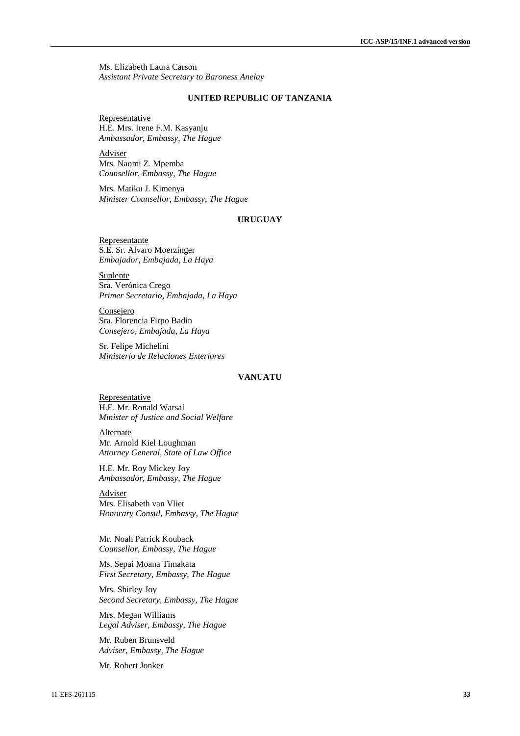Ms. Elizabeth Laura Carson *Assistant Private Secretary to Baroness Anelay*

#### **UNITED REPUBLIC OF TANZANIA**

Representative H.E. Mrs. Irene F.M. Kasyanju *Ambassador, Embassy, The Hague*

Adviser Mrs. Naomi Z. Mpemba *Counsellor, Embassy, The Hague*

Mrs. Matiku J. Kimenya *Minister Counsellor, Embassy, The Hague*

## **URUGUAY**

Representante S.E. Sr. Alvaro Moerzinger *Embajador, Embajada, La Haya*

**Suplente** Sra. Verónica Crego *Primer Secretario, Embajada, La Haya*

**Consejero** Sra. Florencia Firpo Badin *Consejero, Embajada, La Haya*

Sr. Felipe Michelini *Ministerio de Relaciones Exteriores*

#### **VANUATU**

Representative H.E. Mr. Ronald Warsal *Minister of Justice and Social Welfare*

**Alternate** Mr. Arnold Kiel Loughman *Attorney General, State of Law Office*

H.E. Mr. Roy Mickey Joy *Ambassador, Embassy, The Hague*

Adviser Mrs. Elisabeth van Vliet *Honorary Consul, Embassy, The Hague*

Mr. Noah Patrick Kouback *Counsellor, Embassy, The Hague*

Ms. Sepai Moana Timakata *First Secretary, Embassy, The Hague*

Mrs. Shirley Joy *Second Secretary, Embassy, The Hague*

Mrs. Megan Williams *Legal Adviser, Embassy, The Hague*

Mr. Ruben Brunsveld *Adviser, Embassy, The Hague*

Mr. Robert Jonker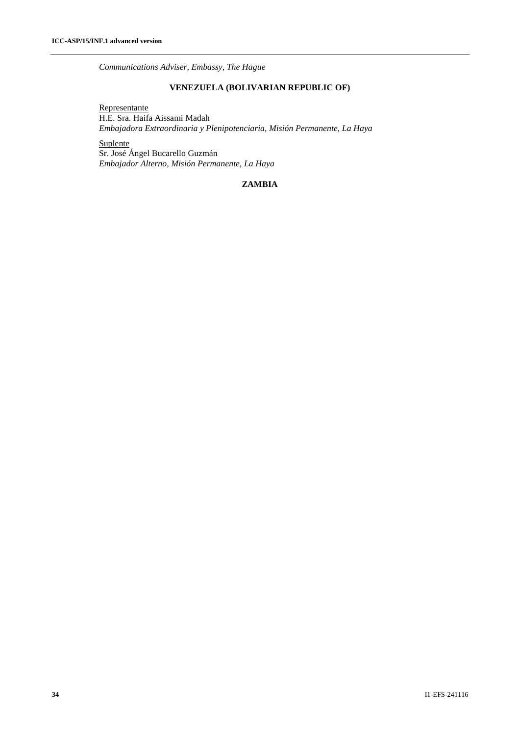*Communications Adviser, Embassy, The Hague*

## **VENEZUELA (BOLIVARIAN REPUBLIC OF)**

Representante

H.E. Sra. Haifa Aissami Madah *Embajadora Extraordinaria y Plenipotenciaria, Misión Permanente, La Haya*

**Suplente** 

Sr. José Ángel Bucarello Guzmán *Embajador Alterno, Misión Permanente, La Haya*

## **ZAMBIA**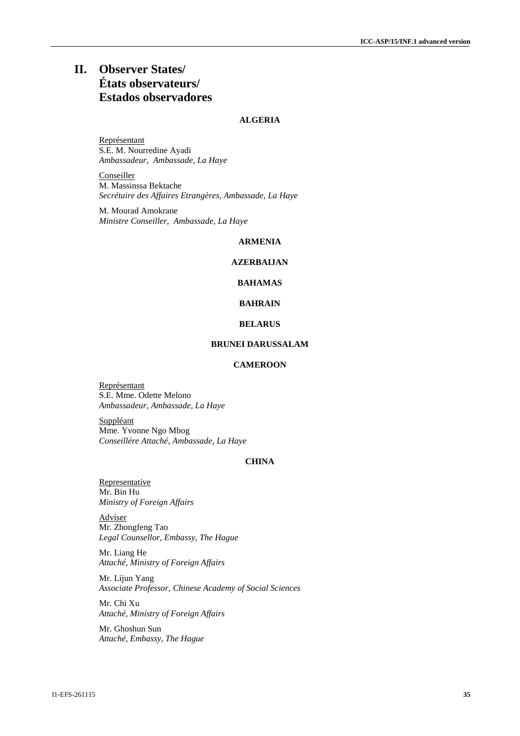## **II. Observer States/ États observateurs/ Estados observadores**

## **ALGERIA**

Représentant S.E. M. Nourredine Ayadi *Ambassadeur, Ambassade, La Haye*

**Conseiller** M. Massinssa Bektache *Secrétaire des Affaires Etrangères, Ambassade, La Haye*

M. Mourad Amokrane *Ministre Conseiller, Ambassade, La Haye*

#### **ARMENIA**

## **AZERBAIJAN**

## **BAHAMAS**

## **BAHRAIN**

#### **BELARUS**

## **BRUNEI DARUSSALAM**

## **CAMEROON**

Représentant S.E. Mme. Odette Melono *Ambassadeur, Ambassade, La Haye*

**Suppléant** Mme. Yvonne Ngo Mbog *Conseillére Attaché, Ambassade, La Haye*

## **CHINA**

Representative Mr. Bin Hu *Ministry of Foreign Affairs*

Adviser Mr. Zhongfeng Tao *Legal Counsellor, Embassy, The Hague*

Mr. Liang He *Attaché, Ministry of Foreign Affairs*

Mr. Lijun Yang *Associate Professor, Chinese Academy of Social Sciences*

Mr. Chi Xu *Attaché, Ministry of Foreign Affairs*

Mr. Ghoshun Sun *Attaché, Embassy, The Hague*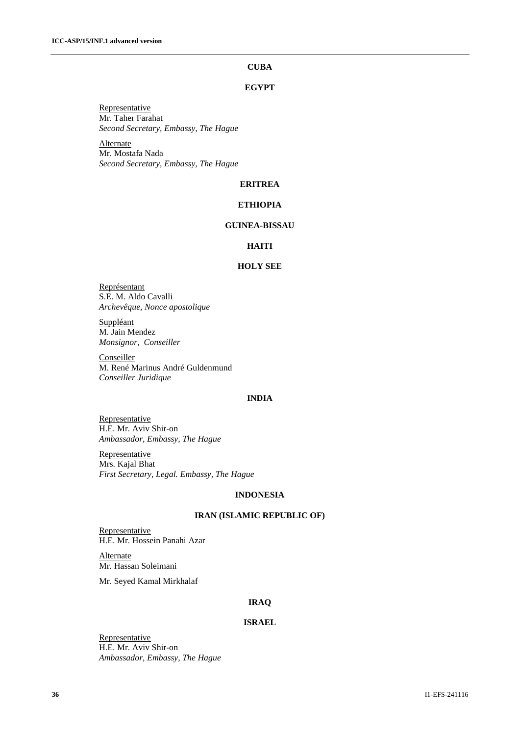## **CUBA**

## **EGYPT**

Representative Mr. Taher Farahat *Second Secretary, Embassy, The Hague*

**Alternate** Mr. Mostafa Nada *Second Secretary, Embassy, The Hague*

## **ERITREA**

## **ETHIOPIA**

## **GUINEA-BISSAU**

## **HAITI**

#### **HOLY SEE**

Représentant S.E. M. Aldo Cavalli *Archevêque, Nonce apostolique*

**Suppléant** M. Jain Mendez *Monsignor, Conseiller*

**Conseiller** M. René Marinus André Guldenmund *Conseiller Juridique*

#### **INDIA**

Representative H.E. Mr. Aviv Shir-on *Ambassador, Embassy, The Hague*

Representative Mrs. Kajal Bhat *First Secretary, Legal. Embassy, The Hague*

## **INDONESIA**

#### **IRAN (ISLAMIC REPUBLIC OF)**

**Representative** H.E. Mr. Hossein Panahi Azar

**Alternate** Mr. Hassan Soleimani

Mr. Seyed Kamal Mirkhalaf

#### **IRAQ**

## **ISRAEL**

Representative H.E. Mr. Aviv Shir-on *Ambassador, Embassy, The Hague*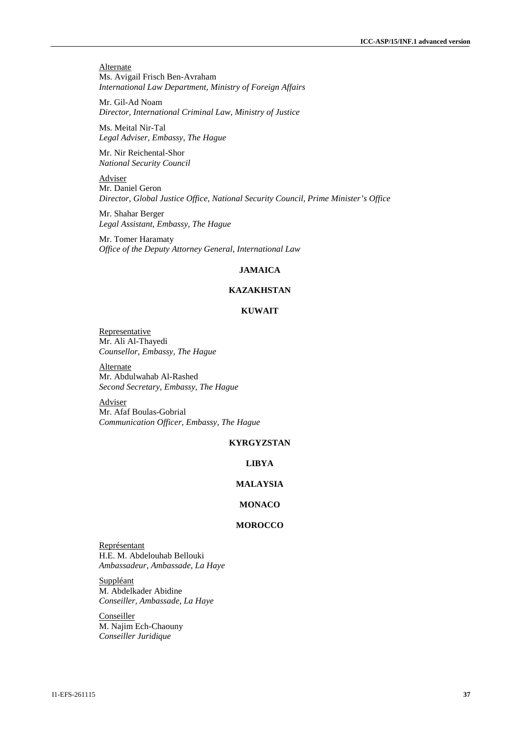**Alternate** Ms. Avigail Frisch Ben-Avraham *International Law Department, Ministry of Foreign Affairs*

Mr. Gil-Ad Noam *Director, International Criminal Law, Ministry of Justice*

Ms. Meital Nir-Tal *Legal Adviser, Embassy, The Hague*

Mr. Nir Reichental-Shor *National Security Council*

Adviser Mr. Daniel Geron *Director, Global Justice Office, National Security Council, Prime Minister's Office*

Mr. Shahar Berger *Legal Assistant, Embassy, The Hague*

Mr. Tomer Haramaty *Office of the Deputy Attorney General, International Law*

#### **JAMAICA**

## **KAZAKHSTAN**

## **KUWAIT**

**Representative** Mr. Ali Al-Thayedi *Counsellor, Embassy, The Hague*

**Alternate** Mr. Abdulwahab Al-Rashed *Second Secretary, Embassy, The Hague*

Adviser Mr. Afaf Boulas-Gobrial *Communication Officer, Embassy, The Hague*

### **KYRGYZSTAN**

#### **LIBYA**

## **MALAYSIA**

## **MONACO**

#### **MOROCCO**

Représentant H.E. M. Abdelouhab Bellouki *Ambassadeur, Ambassade, La Haye*

Suppléant M. Abdelkader Abidine *Conseiller, Ambassade, La Haye*

**Conseiller** M. Najim Ech-Chaouny *Conseiller Juridique*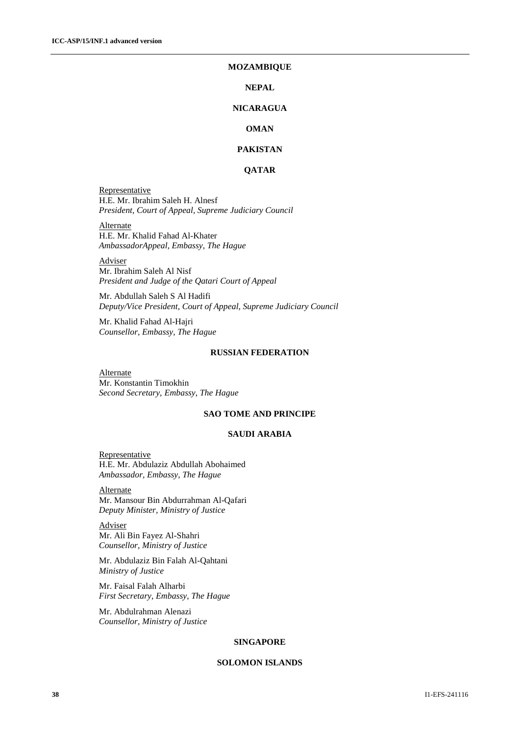#### **MOZAMBIQUE**

#### **NEPAL**

## **NICARAGUA**

## **OMAN**

## **PAKISTAN**

## **QATAR**

**Representative** H.E. Mr. Ibrahim Saleh H. Alnesf *President, Court of Appeal, Supreme Judiciary Council*

Alternate H.E. Mr. Khalid Fahad Al-Khater *AmbassadorAppeal, Embassy, The Hague*

Adviser Mr. Ibrahim Saleh Al Nisf *President and Judge of the Qatari Court of Appeal*

Mr. Abdullah Saleh S Al Hadifi *Deputy/Vice President, Court of Appeal, Supreme Judiciary Council*

Mr. Khalid Fahad Al-Hajri *Counsellor, Embassy, The Hague*

## **RUSSIAN FEDERATION**

Alternate Mr. Konstantin Timokhin *Second Secretary, Embassy, The Hague*

#### **SAO TOME AND PRINCIPE**

#### **SAUDI ARABIA**

**Representative** H.E. Mr. Abdulaziz Abdullah Abohaimed *Ambassador, Embassy, The Hague*

**Alternate** Mr. Mansour Bin Abdurrahman Al-Qafari *Deputy Minister, Ministry of Justice*

Adviser Mr. Ali Bin Fayez Al-Shahri *Counsellor, Ministry of Justice*

Mr. Abdulaziz Bin Falah Al-Qahtani *Ministry of Justice*

Mr. Faisal Falah Alharbi *First Secretary, Embassy, The Hague*

Mr. Abdulrahman Alenazi *Counsellor, Ministry of Justice*

#### **SINGAPORE**

#### **SOLOMON ISLANDS**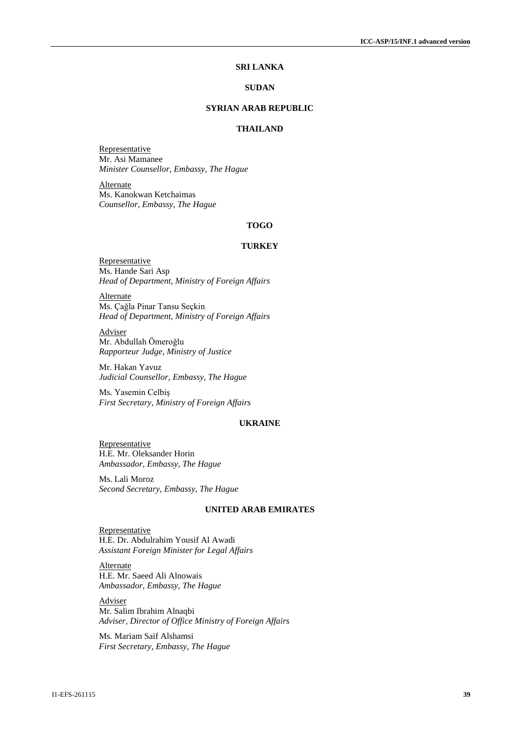## **SRI LANKA**

#### **SUDAN**

## **SYRIAN ARAB REPUBLIC**

## **THAILAND**

Representative Mr. Asi Mamanee *Minister Counsellor, Embassy, The Hague*

**Alternate** Ms. Kanokwan Ketchaimas *Counsellor, Embassy, The Hague*

### **TOGO**

## **TURKEY**

Representative Ms. Hande Sari Asp *Head of Department, Ministry of Foreign Affairs*

**Alternate** Ms. Çağla Pinar Tansu Seçkin *Head of Department, Ministry of Foreign Affairs*

Adviser Mr. Abdullah Ömeroğlu *Rapporteur Judge, Ministry of Justice*

Mr. Hakan Yavuz *Judicial Counsellor, Embassy, The Hague*

Ms. Yasemin Celbiş *First Secretary, Ministry of Foreign Affairs*

#### **UKRAINE**

**Representative** H.E. Mr. Oleksander Horin *Ambassador, Embassy, The Hague*

Ms. Lali Moroz *Second Secretary, Embassy, The Hague*

#### **UNITED ARAB EMIRATES**

**Representative** H.E. Dr. Abdulrahim Yousif Al Awadi *Assistant Foreign Minister for Legal Affairs*

Alternate H.E. Mr. Saeed Ali Alnowais *Ambassador, Embassy, The Hague*

Adviser Mr. Salim Ibrahim Alnaqbi *Adviser, Director of Office Ministry of Foreign Affairs*

Ms. Mariam Saif Alshamsi *First Secretary, Embassy, The Hague*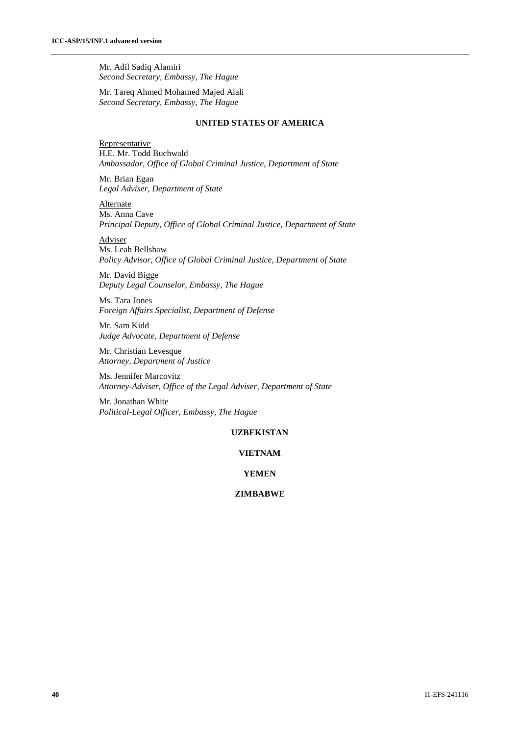Mr. Adil Sadiq Alamiri *Second Secretary, Embassy, The Hague*

Mr. Tareq Ahmed Mohamed Majed Alali *Second Secretary, Embassy, The Hague*

#### **UNITED STATES OF AMERICA**

**Representative** H.E. Mr. Todd Buchwald *Ambassador, Office of Global Criminal Justice, Department of State*

Mr. Brian Egan *Legal Adviser, Department of State*

**Alternate** Ms. Anna Cave *Principal Deputy, Office of Global Criminal Justice, Department of State*

Adviser Ms. Leah Bellshaw *Policy Advisor, Office of Global Criminal Justice, Department of State*

Mr. David Bigge *Deputy Legal Counselor, Embassy, The Hague*

Ms. Tara Jones *Foreign Affairs Specialist, Department of Defense*

Mr. Sam Kidd *Judge Advocate, Department of Defense*

Mr. Christian Levesque *Attorney, Department of Justice*

Ms. Jennifer Marcovitz *Attorney-Adviser, Office of the Legal Adviser, Department of State*

Mr. Jonathan White *Political-Legal Officer, Embassy, The Hague*

## **UZBEKISTAN**

## **VIETNAM**

## **YEMEN**

## **ZIMBABWE**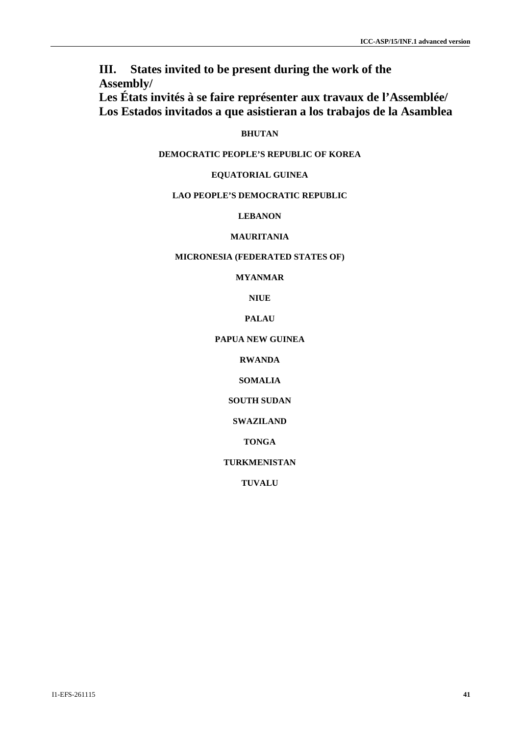**III. States invited to be present during the work of the Assembly/**

**Les États invités à se faire représenter aux travaux de l'Assemblée/ Los Estados invitados a que asistieran a los trabajos de la Asamblea**

## **BHUTAN**

## **DEMOCRATIC PEOPLE'S REPUBLIC OF KOREA**

## **EQUATORIAL GUINEA**

## **LAO PEOPLE'S DEMOCRATIC REPUBLIC**

## **LEBANON**

## **MAURITANIA**

## **MICRONESIA (FEDERATED STATES OF)**

## **MYANMAR**

## **NIUE**

## **PALAU**

## **PAPUA NEW GUINEA**

## **RWANDA**

## **SOMALIA**

## **SOUTH SUDAN**

## **SWAZILAND**

## **TONGA**

## **TURKMENISTAN**

## **TUVALU**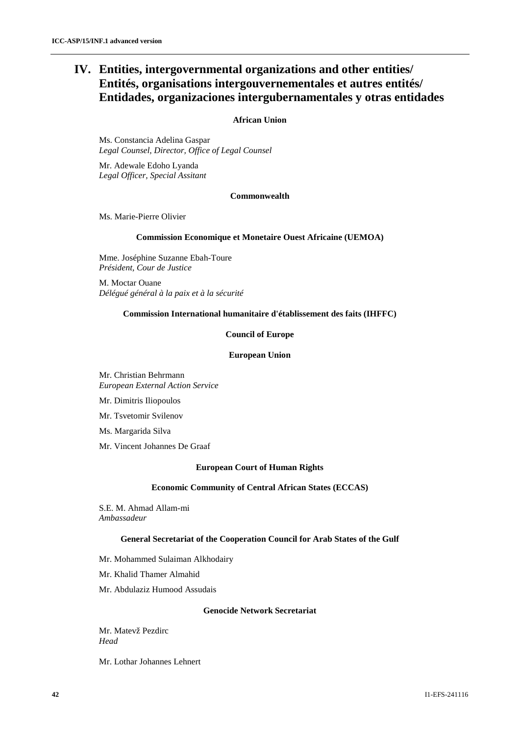## **IV. Entities, intergovernmental organizations and other entities/ Entités, organisations intergouvernementales et autres entités/ Entidades, organizaciones intergubernamentales y otras entidades**

#### **African Union**

Ms. Constancia Adelina Gaspar *Legal Counsel, Director, Office of Legal Counsel*

Mr. Adewale Edoho Lyanda *Legal Officer, Special Assitant*

#### **Commonwealth**

Ms. Marie-Pierre Olivier

#### **Commission Economique et Monetaire Ouest Africaine (UEMOA)**

Mme. Joséphine Suzanne Ebah-Toure *Président, Cour de Justice*

M. Moctar Ouane *Délégué général à la paix et à la sécurité*

#### **Commission International humanitaire d'établissement des faits (IHFFC)**

#### **Council of Europe**

#### **European Union**

Mr. Christian Behrmann *European External Action Service*

Mr. Dimitris Iliopoulos

Mr. Tsvetomir Svilenov

Ms. Margarida Silva

Mr. Vincent Johannes De Graaf

## **European Court of Human Rights**

#### **Economic Community of Central African States (ECCAS)**

S.E. M. Ahmad Allam-mi *Ambassadeur*

## **General Secretariat of the Cooperation Council for Arab States of the Gulf**

Mr. Mohammed Sulaiman Alkhodairy

Mr. Khalid Thamer Almahid

Mr. Abdulaziz Humood Assudais

#### **Genocide Network Secretariat**

Mr. Matevž Pezdirc *Head* 

Mr. Lothar Johannes Lehnert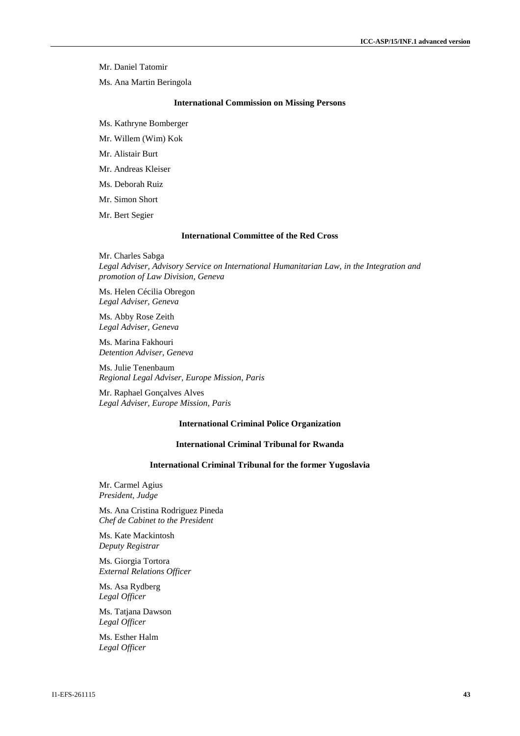Mr. Daniel Tatomir

Ms. Ana Martin Beringola

#### **International Commission on Missing Persons**

Ms. Kathryne Bomberger

Mr. Willem (Wim) Kok

Mr. Alistair Burt

Mr. Andreas Kleiser

Ms. Deborah Ruiz

Mr. Simon Short

Mr. Bert Segier

#### **International Committee of the Red Cross**

Mr. Charles Sabga *Legal Adviser, Advisory Service on International Humanitarian Law, in the Integration and promotion of Law Division, Geneva*

Ms. Helen Cécilia Obregon *Legal Adviser, Geneva*

Ms. Abby Rose Zeith *Legal Adviser, Geneva*

Ms. Marina Fakhouri *Detention Adviser, Geneva*

Ms. Julie Tenenbaum *Regional Legal Adviser, Europe Mission, Paris*

Mr. Raphael Gonçalves Alves *Legal Adviser, Europe Mission, Paris*

#### **International Criminal Police Organization**

#### **International Criminal Tribunal for Rwanda**

#### **International Criminal Tribunal for the former Yugoslavia**

Mr. Carmel Agius *President, Judge*

Ms. Ana Cristina Rodriguez Pineda *Chef de Cabinet to the President*

Ms. Kate Mackintosh *Deputy Registrar* 

Ms. Giorgia Tortora *External Relations Officer* 

Ms. Asa Rydberg *Legal Officer* 

Ms. Tatjana Dawson *Legal Officer* 

Ms. Esther Halm *Legal Officer*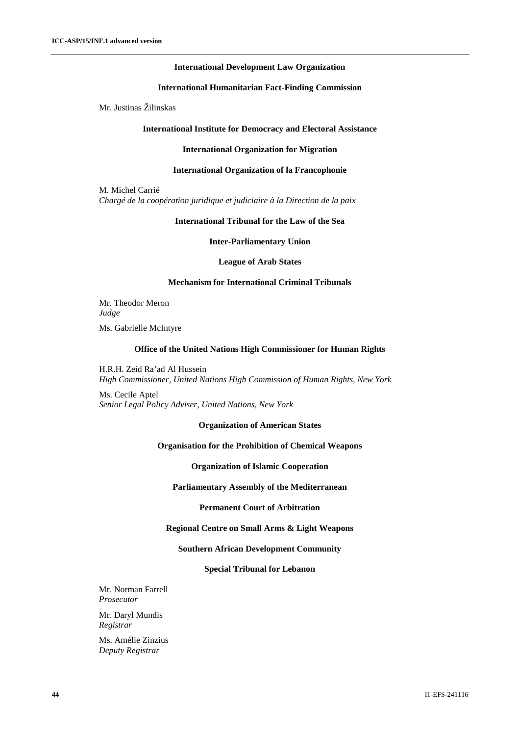#### **International Development Law Organization**

#### **International Humanitarian Fact-Finding Commission**

Mr. Justinas Žilinskas

#### **International Institute for Democracy and Electoral Assistance**

#### **International Organization for Migration**

#### **International Organization of la Francophonie**

M. Michel Carrié *Chargé de la coopération juridique et judiciaire à la Direction de la paix*

#### **International Tribunal for the Law of the Sea**

**Inter-Parliamentary Union**

**League of Arab States**

## **Mechanism for International Criminal Tribunals**

Mr. Theodor Meron *Judge*

Ms. Gabrielle McIntyre

#### **Office of the United Nations High Commissioner for Human Rights**

H.R.H. Zeid Ra'ad Al Hussein *High Commissioner, United Nations High Commission of Human Rights, New York*

Ms. Cecile Aptel *Senior Legal Policy Adviser, United Nations, New York*

#### **Organization of American States**

#### **Organisation for the Prohibition of Chemical Weapons**

**Organization of Islamic Cooperation**

**Parliamentary Assembly of the Mediterranean**

**Permanent Court of Arbitration**

## **Regional Centre on Small Arms & Light Weapons**

#### **Southern African Development Community**

#### **Special Tribunal for Lebanon**

Mr. Norman Farrell *Prosecutor*

Mr. Daryl Mundis *Registrar*

Ms. Amélie Zinzius *Deputy Registrar*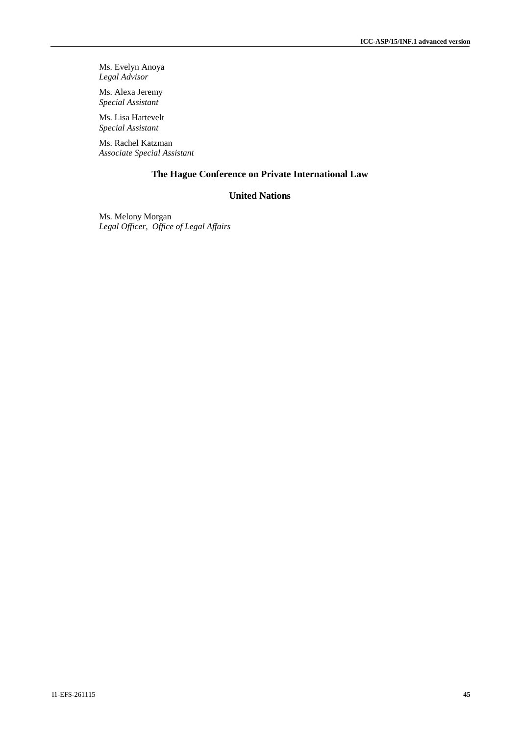Ms. Evelyn Anoya *Legal Advisor*

Ms. Alexa Jeremy *Special Assistant*

Ms. Lisa Hartevelt *Special Assistant*

Ms. Rachel Katzman *Associate Special Assistant*

## **The Hague Conference on Private International Law**

## **United Nations**

Ms. Melony Morgan *Legal Officer, Office of Legal Affairs*